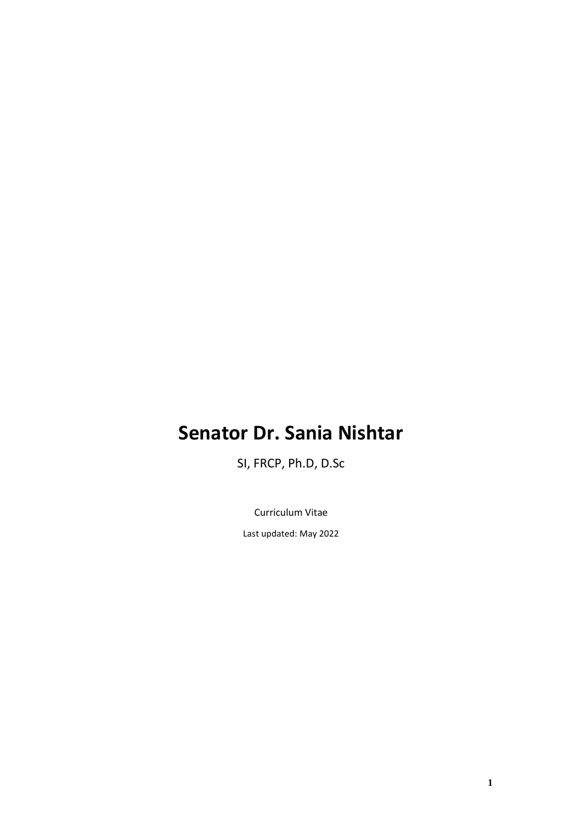# **Senator Dr. Sania Nishtar**

SI, FRCP, Ph.D, D.Sc

Curriculum Vitae Last updated: May 2022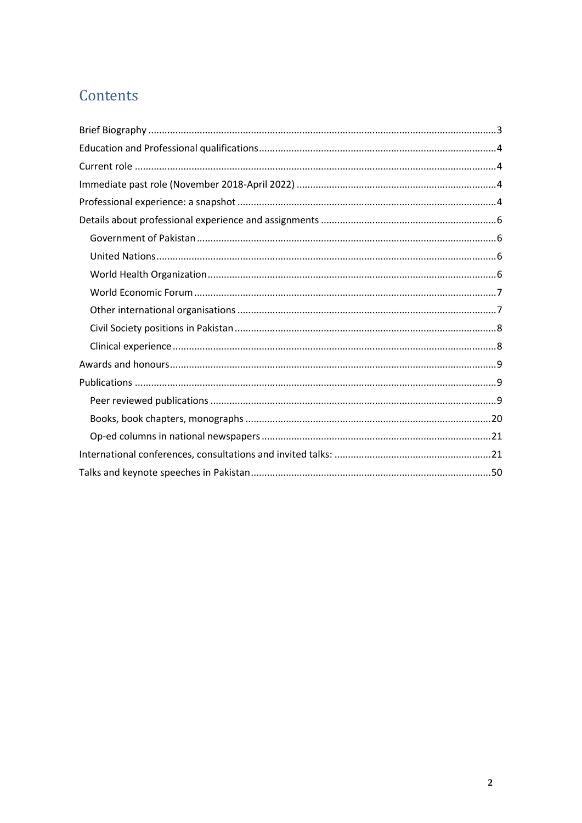# Contents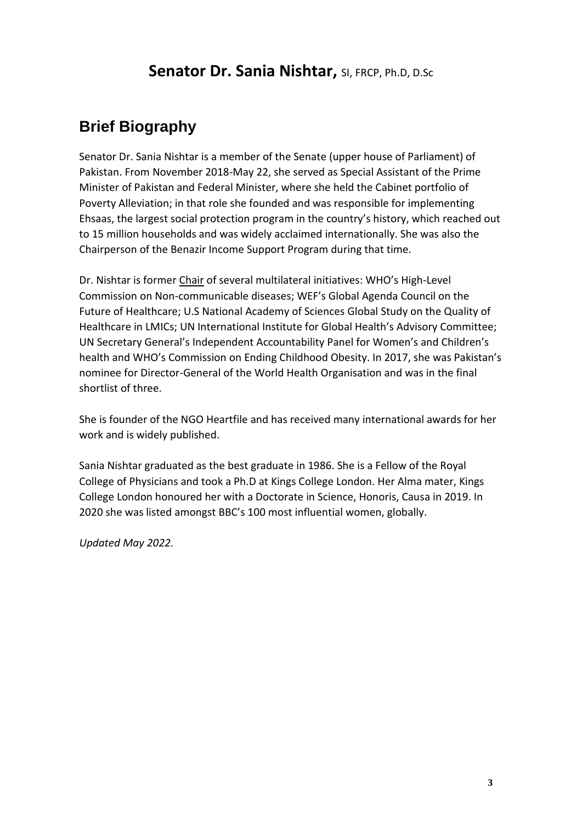## **Senator Dr. Sania Nishtar,** SI, FRCP, Ph.D, D.Sc

## <span id="page-2-0"></span>**Brief Biography**

Senator Dr. Sania Nishtar is a member of the Senate (upper house of Parliament) of Pakistan. From November 2018-May 22, she served as Special Assistant of the Prime Minister of Pakistan and Federal Minister, where she held the Cabinet portfolio of Poverty Alleviation; in that role she founded and was responsible for implementing Ehsaas, the largest social protection program in the country's history, which reached out to 15 million households and was widely acclaimed internationally. She was also the Chairperson of the Benazir Income Support Program during that time.

Dr. Nishtar is former Chair of several multilateral initiatives: WHO's High-Level Commission on Non-communicable diseases; WEF's Global Agenda Council on the Future of Healthcare; U.S National Academy of Sciences Global Study on the Quality of Healthcare in LMICs; UN International Institute for Global Health's Advisory Committee; UN Secretary General's Independent Accountability Panel for Women's and Children's health and WHO's Commission on Ending Childhood Obesity. In 2017, she was Pakistan's nominee for Director-General of the World Health Organisation and was in the final shortlist of three.

She is founder of the NGO Heartfile and has received many international awards for her work and is widely published.

Sania Nishtar graduated as the best graduate in 1986. She is a Fellow of the Royal College of Physicians and took a Ph.D at Kings College London. Her Alma mater, Kings College London honoured her with a Doctorate in Science, Honoris, Causa in 2019. In 2020 she was listed amongst BBC's 100 most influential women, globally.

*Updated May 2022.*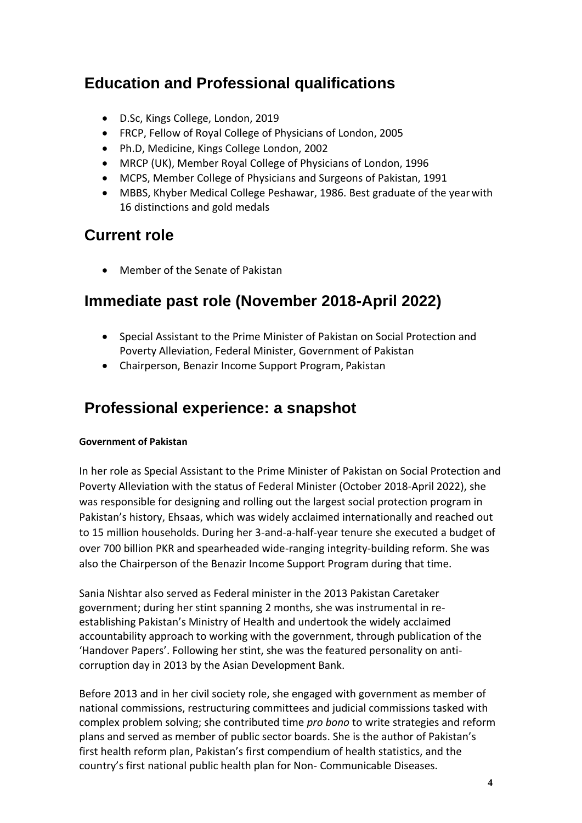## <span id="page-3-0"></span>**Education and Professional qualifications**

- D.Sc, Kings College, London, 2019
- FRCP, Fellow of Royal College of Physicians of London, 2005
- Ph.D, Medicine, Kings College London, 2002
- MRCP (UK), Member Royal College of Physicians of London, 1996
- MCPS, Member College of Physicians and Surgeons of Pakistan, 1991
- MBBS, Khyber Medical College Peshawar, 1986. Best graduate of the yearwith 16 distinctions and gold medals

## <span id="page-3-1"></span>**Current role**

• Member of the Senate of Pakistan

## <span id="page-3-2"></span>**Immediate past role (November 2018-April 2022)**

- Special Assistant to the Prime Minister of Pakistan on Social Protection and Poverty Alleviation, Federal Minister, Government of Pakistan
- Chairperson, Benazir Income Support Program, Pakistan

## <span id="page-3-3"></span>**Professional experience: a snapshot**

## **Government of Pakistan**

In her role as Special Assistant to the Prime Minister of Pakistan on Social Protection and Poverty Alleviation with the status of Federal Minister (October 2018-April 2022), she was responsible for designing and rolling out the largest social protection program in Pakistan's history, Ehsaas, which was widely acclaimed internationally and reached out to 15 million households. During her 3-and-a-half-year tenure she executed a budget of over 700 billion PKR and spearheaded wide-ranging integrity-building reform. She was also the Chairperson of the Benazir Income Support Program during that time.

Sania Nishtar also served as Federal minister in the 2013 Pakistan Caretaker government; during her stint spanning 2 months, she was instrumental in reestablishing Pakistan's Ministry of Health and undertook the widely acclaimed accountability approach to working with the government, through publication of the 'Handover Papers'. Following her stint, she was the featured personality on anticorruption day in 2013 by the Asian Development Bank.

Before 2013 and in her civil society role, she engaged with government as member of national commissions, restructuring committees and judicial commissions tasked with complex problem solving; she contributed time *pro bono* to write strategies and reform plans and served as member of public sector boards. She is the author of Pakistan's first health reform plan, Pakistan's first compendium of health statistics, and the country's first national public health plan for Non- Communicable Diseases.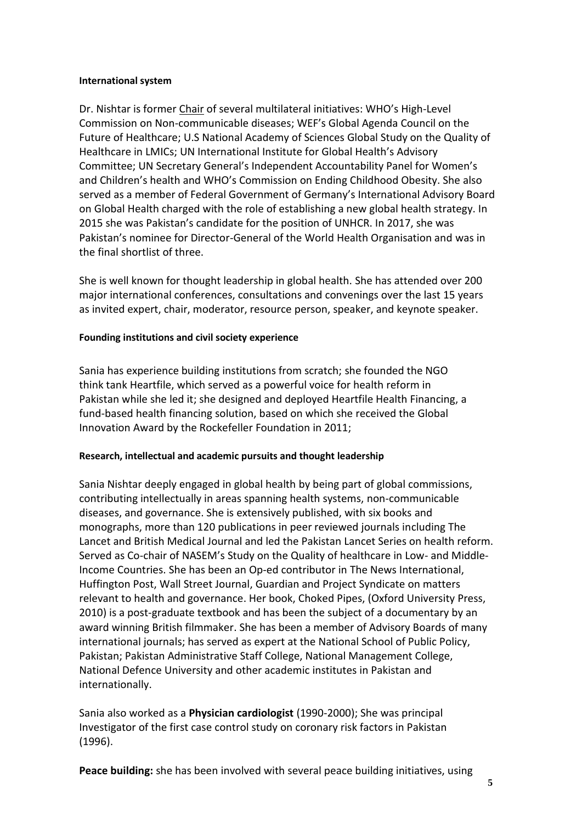#### **International system**

Dr. Nishtar is former Chair of several multilateral initiatives: WHO's High-Level Commission on Non-communicable diseases; WEF's Global Agenda Council on the Future of Healthcare; U.S National Academy of Sciences Global Study on the Quality of Healthcare in LMICs; UN International Institute for Global Health's Advisory Committee; UN Secretary General's Independent Accountability Panel for Women's and Children's health and WHO's Commission on Ending Childhood Obesity. She also served as a member of Federal Government of Germany's International Advisory Board on Global Health charged with the role of establishing a new global health strategy. In 2015 she was Pakistan's candidate for the position of UNHCR. In 2017, she was Pakistan's nominee for Director-General of the World Health Organisation and was in the final shortlist of three.

She is well known for thought leadership in global health. She has attended over 200 major international conferences, consultations and convenings over the last 15 years as invited expert, chair, moderator, resource person, speaker, and keynote speaker.

### **Founding institutions and civil society experience**

Sania has experience building institutions from scratch; she founded the NGO think tank Heartfile, which served as a powerful voice for health reform in Pakistan while she led it; she designed and deployed Heartfile Health Financing, a fund-based health financing solution, based on which she received the Global Innovation Award by the Rockefeller Foundation in 2011;

#### **Research, intellectual and academic pursuits and thought leadership**

Sania Nishtar deeply engaged in global health by being part of global commissions, contributing intellectually in areas spanning health systems, non-communicable diseases, and governance. She is extensively published, with six books and monographs, more than 120 publications in peer reviewed journals including The Lancet and British Medical Journal and led the Pakistan Lancet Series on health reform. Served as Co-chair of NASEM's Study on the Quality of healthcare in Low- and Middle-Income Countries. She has been an Op-ed contributor in [The](https://en.wikipedia.org/wiki/The_News_International) [News International,](https://en.wikipedia.org/wiki/The_News_International) [Huffington Post,](https://en.wikipedia.org/wiki/Huffington_Post) [Wall Street Journal,](https://en.wikipedia.org/wiki/Wall_Street_Journal) Guardian and [Project](https://en.wikipedia.org/wiki/Project_Syndicate) [Syndicate o](https://en.wikipedia.org/wiki/Project_Syndicate)n matters relevant to health and governance. Her book, Choked Pipes, (Oxford University Press, 2010) is a post-graduate textbook and has been the subject of a documentary by an award winning British filmmaker. She has been a member of Advisory Boards of many international journals; has served as expert at the National School of Public Policy, Pakistan; Pakistan Administrative Staff College, National Management College, National Defence University and other academic institutes in Pakistan and internationally.

Sania also worked as a **Physician cardiologist** (1990-2000); She was principal Investigator of the first case control study on coronary risk factors in Pakistan (1996).

**Peace building:** she has been involved with several peace building initiatives, using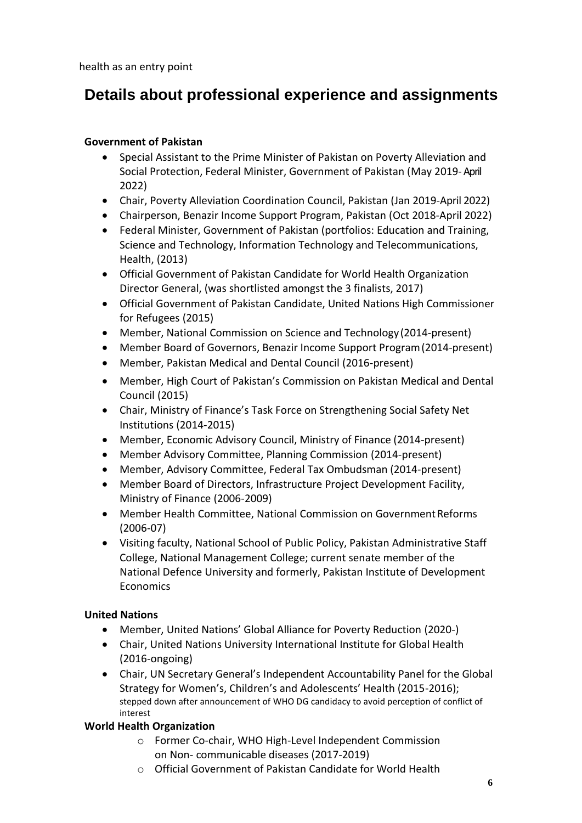health as an entry point

## <span id="page-5-0"></span>**Details about professional experience and assignments**

### <span id="page-5-1"></span>**Government of Pakistan**

- Special Assistant to the Prime Minister of Pakistan on Poverty Alleviation and Social Protection, Federal Minister, Government of Pakistan (May 2019-April 2022)
- Chair, Poverty Alleviation Coordination Council, Pakistan (Jan 2019-April 2022)
- Chairperson, Benazir Income Support Program, Pakistan (Oct 2018-April 2022)
- Federal Minister, Government of Pakistan (portfolios: Education and Training, Science and Technology, Information Technology and Telecommunications, Health, (2013)
- Official Government of Pakistan Candidate for World Health Organization Director General, (was shortlisted amongst the 3 finalists, 2017)
- Official Government of Pakistan Candidate, United Nations High Commissioner for Refugees (2015)
- Member, National Commission on Science and Technology (2014-present)
- Member Board of Governors, Benazir Income Support Program(2014-present)
- Member, Pakistan Medical and Dental Council (2016-present)
- Member, High Court of Pakistan's Commission on Pakistan Medical and Dental Council (2015)
- Chair, Ministry of Finance's Task Force on Strengthening Social Safety Net Institutions (2014-2015)
- Member, Economic Advisory Council, Ministry of Finance (2014-present)
- Member Advisory Committee, Planning Commission (2014-present)
- Member, Advisory Committee, Federal Tax Ombudsman (2014-present)
- Member Board of Directors, Infrastructure Project Development Facility, Ministry of Finance (2006-2009)
- Member Health Committee, National Commission on Government Reforms (2006-07)
- Visiting faculty, National School of Public Policy, Pakistan Administrative Staff College, National Management College; current senate member of the National Defence University and formerly, Pakistan Institute of Development **Economics**

## <span id="page-5-2"></span>**United Nations**

- Member, United Nations' Global Alliance for Poverty Reduction (2020-)
- Chair, United Nations University International Institute for Global Health (2016-ongoing)
- Chair, UN Secretary General's Independent Accountability Panel for the Global Strategy for Women's, Children's and Adolescents' Health (2015-2016); stepped down after announcement of WHO DG candidacy to avoid perception of conflict of interest

## <span id="page-5-3"></span>**World Health Organization**

- o Former Co-chair, WHO High-Level Independent Commission on Non- communicable diseases (2017-2019)
- o Official Government of Pakistan Candidate for World Health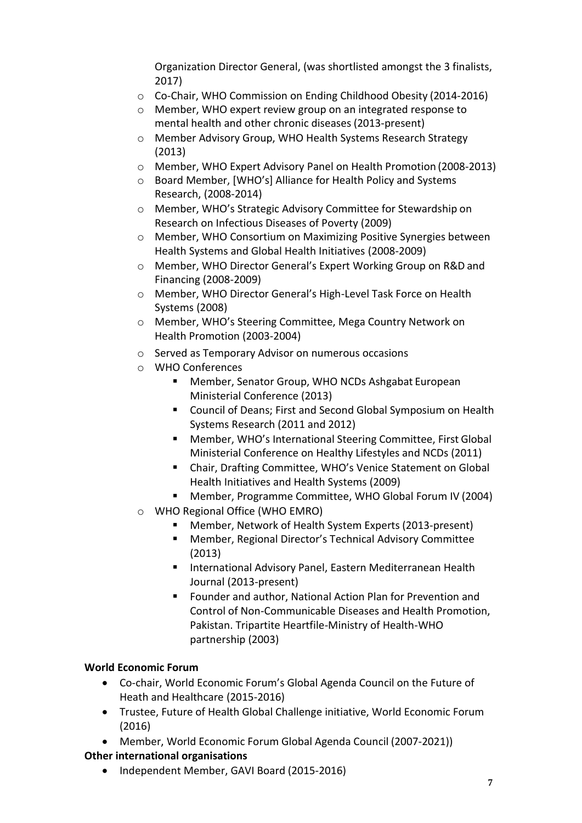Organization Director General, (was shortlisted amongst the 3 finalists, 2017)

- o Co-Chair, WHO Commission on Ending Childhood Obesity (2014-2016)
- o Member, WHO expert review group on an integrated response to mental health and other chronic diseases (2013-present)
- o Member Advisory Group, WHO Health Systems Research Strategy (2013)
- o Member, WHO Expert Advisory Panel on Health Promotion (2008-2013)
- o Board Member, [WHO's] Alliance for Health Policy and Systems Research, (2008-2014)
- o Member, WHO's Strategic Advisory Committee for Stewardship on Research on Infectious Diseases of Poverty (2009)
- o Member, WHO Consortium on Maximizing Positive Synergies between Health Systems and Global Health Initiatives (2008-2009)
- o Member, WHO Director General's Expert Working Group on R&D and Financing (2008-2009)
- o Member, WHO Director General's High-Level Task Force on Health Systems (2008)
- o Member, WHO's Steering Committee, Mega Country Network on Health Promotion (2003-2004)
- o Served as Temporary Advisor on numerous occasions
- o WHO Conferences
	- Member, Senator Group, WHO NCDs Ashgabat European Ministerial Conference (2013)
	- Council of Deans; First and Second Global Symposium on Health Systems Research (2011 and 2012)
	- Member, WHO's International Steering Committee, First Global Ministerial Conference on Healthy Lifestyles and NCDs (2011)
	- Chair, Drafting Committee, WHO's Venice Statement on Global Health Initiatives and Health Systems (2009)
	- Member, Programme Committee, WHO Global Forum IV (2004)
- o WHO Regional Office (WHO EMRO)
	- Member, Network of Health System Experts (2013-present)
	- Member, Regional Director's Technical Advisory Committee (2013)
	- International Advisory Panel, [Eastern Mediterranean Health](http://www.emro.who.int/emh-journal/eastern-mediterranean-health-journal/home.html) [Journal \(](http://www.emro.who.int/emh-journal/eastern-mediterranean-health-journal/home.html)2013-present)
	- Founder and author, National Action Plan for Prevention and Control of Non-Communicable Diseases and Health Promotion, Pakistan. Tripartite Heartfile-Ministry of Health-WHO partnership (2003)

## <span id="page-6-0"></span>**World Economic Forum**

- Co-chair, World Economic Forum's Global Agenda Council on the Future of Heath and Healthcare (2015-2016)
- Trustee, Future of Health Global Challenge initiative, World Economic Forum (2016)
- Member, World Economic Forum Global Agenda Council (2007-2021))

## <span id="page-6-1"></span>**Other international organisations**

• Independent Member, GAVI Board (2015-2016)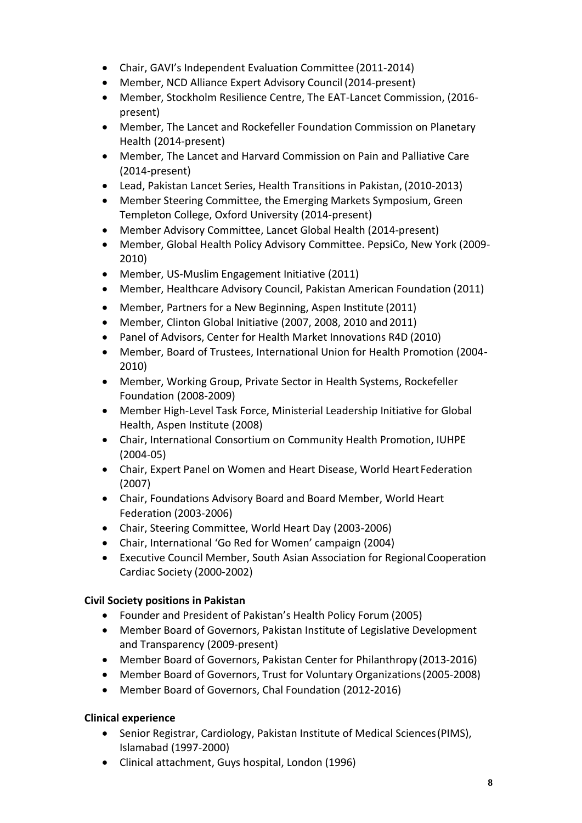- Chair, GAVI's Independent Evaluation Committee (2011-2014)
- Member, NCD Alliance Expert Advisory Council (2014-present)
- Member, Stockholm Resilience Centre, The EAT-Lancet Commission, (2016 present)
- Member, The Lancet and Rockefeller Foundation Commission on Planetary Health (2014-present)
- Member, The Lancet and Harvard Commission on Pain and Palliative Care (2014-present)
- Lead, Pakistan Lancet Series, Health Transitions in Pakistan, (2010-2013)
- Member Steering Committee, the Emerging Markets Symposium, Green Templeton College, Oxford University (2014-present)
- Member Advisory Committee, Lancet Global Health (2014-present)
- Member, Global Health Policy Advisory Committee. PepsiCo, New York (2009- 2010)
- Member, US-Muslim Engagement Initiative (2011)
- Member, Healthcare Advisory Council, Pakistan American Foundation (2011)
- Member, Partners for a New Beginning, Aspen Institute (2011)
- Member, Clinton Global Initiative (2007, 2008, 2010 and 2011)
- Panel of Advisors, Center for Health Market Innovations R4D (2010)
- Member, Board of Trustees, International Union for Health Promotion (2004- 2010)
- Member, Working Group, Private Sector in Health Systems, Rockefeller Foundation (2008-2009)
- Member High-Level Task Force, Ministerial Leadership Initiative for Global Health, Aspen Institute (2008)
- Chair, International Consortium on Community Health Promotion, IUHPE (2004-05)
- Chair, Expert Panel on Women and Heart Disease, World Heart Federation (2007)
- Chair, Foundations Advisory Board and Board Member, World Heart Federation (2003-2006)
- Chair, Steering Committee, World Heart Day (2003-2006)
- Chair, International 'Go Red for Women' campaign (2004)
- Executive Council Member, South Asian Association for RegionalCooperation Cardiac Society (2000-2002)

## <span id="page-7-0"></span>**Civil Society positions in Pakistan**

- Founder and President of Pakistan's Health Policy Forum (2005)
- Member Board of Governors, Pakistan Institute of Legislative Development and Transparency (2009-present)
- Member Board of Governors, Pakistan Center for Philanthropy (2013-2016)
- Member Board of Governors, Trust for Voluntary Organizations(2005-2008)
- Member Board of Governors, Chal Foundation (2012-2016)

## <span id="page-7-1"></span>**Clinical experience**

- Senior Registrar, Cardiology, Pakistan Institute of Medical Sciences(PIMS), Islamabad (1997-2000)
- Clinical attachment, Guys hospital, London (1996)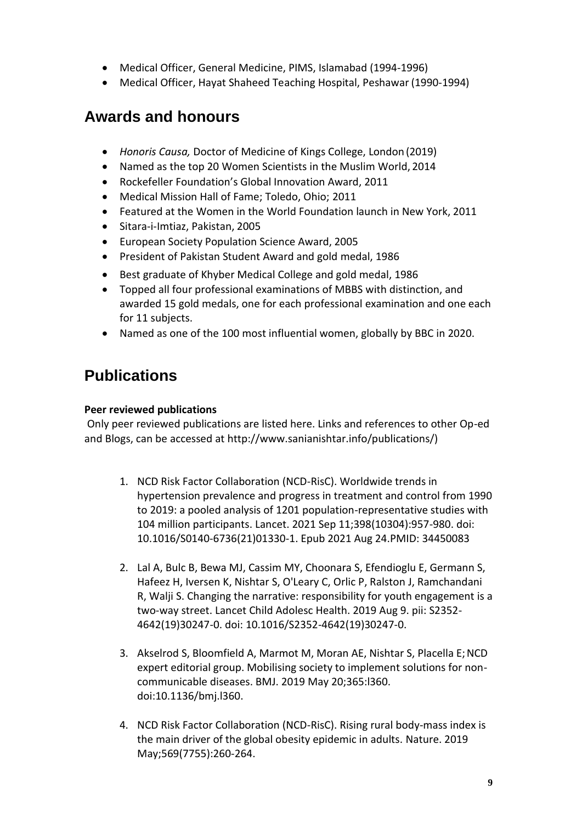- Medical Officer, General Medicine, PIMS, Islamabad (1994-1996)
- Medical Officer, Hayat Shaheed Teaching Hospital, Peshawar (1990-1994)

## <span id="page-8-0"></span>**Awards and honours**

- *Honoris Causa,* Doctor of Medicine of Kings College, London (2019)
- Named as the top 20 Women Scientists in the Muslim World, 2014
- Rockefeller Foundation's Global Innovation Award, 2011
- Medical Mission Hall of Fame; Toledo, Ohio; 2011
- Featured at the Women in the World Foundation launch in New York, 2011
- Sitara-i-Imtiaz, Pakistan, 2005
- European Society Population Science Award, 2005
- President of Pakistan Student Award and gold medal, 1986
- Best graduate of Khyber Medical College and gold medal, 1986
- Topped all four professional examinations of MBBS with distinction, and awarded 15 gold medals, one for each professional examination and one each for 11 subjects.
- Named as one of the 100 most influential women, globally by BBC in 2020.

# <span id="page-8-1"></span>**Publications**

## <span id="page-8-2"></span>**Peer reviewed publications**

Only peer reviewed publications are listed here. Links and references to other Op-ed and Blogs, can be accessed at [http://www.sanianishtar.info/publications/\)](http://www.sanianishtar.info/publications/))

- 1. NCD Risk Factor Collaboration (NCD-RisC)[. Worldwide trends in](https://pubmed.ncbi.nlm.nih.gov/34450083/)  [hypertension prevalence and progress in treatment and control from 1990](https://pubmed.ncbi.nlm.nih.gov/34450083/)  [to 2019: a pooled analysis of 1201 population-representative studies with](https://pubmed.ncbi.nlm.nih.gov/34450083/)  [104 million participants.](https://pubmed.ncbi.nlm.nih.gov/34450083/) Lancet. 2021 Sep 11;398(10304):957-980. doi: 10.1016/S0140-6736(21)01330-1. Epub 2021 Aug 24.PMID: 34450083
- 2. Lal A, Bulc B, Bewa MJ, Cassim MY, Choonara S, Efendioglu E, Germann S, Hafeez H, Iversen K, Nishtar S, O'Leary C, Orlic P, Ralston J, Ramchandani R, Walji S. Changing the narrative: responsibility for youth engagement is a two-way street. Lancet Child Adolesc Health. 2019 Aug 9. pii: S2352- 4642(19)30247-0. doi: 10.1016/S2352-4642(19)30247-0.
- 3. Akselrod S, Bloomfield A, Marmot M, Moran AE, Nishtar S, Placella E;NCD expert editorial group. Mobilising society to implement solutions for noncommunicable diseases. BMJ. 2019 May 20;365:l360. doi:10.1136/bmj.l360.
- 4. NCD Risk Factor Collaboration (NCD-RisC)[. Rising rural body-mass index is](https://www.ncbi.nlm.nih.gov/pubmed/31068725) [the main driver of the global obesity epidemic in adults. N](https://www.ncbi.nlm.nih.gov/pubmed/31068725)ature. 2019 May;569(7755):260-264.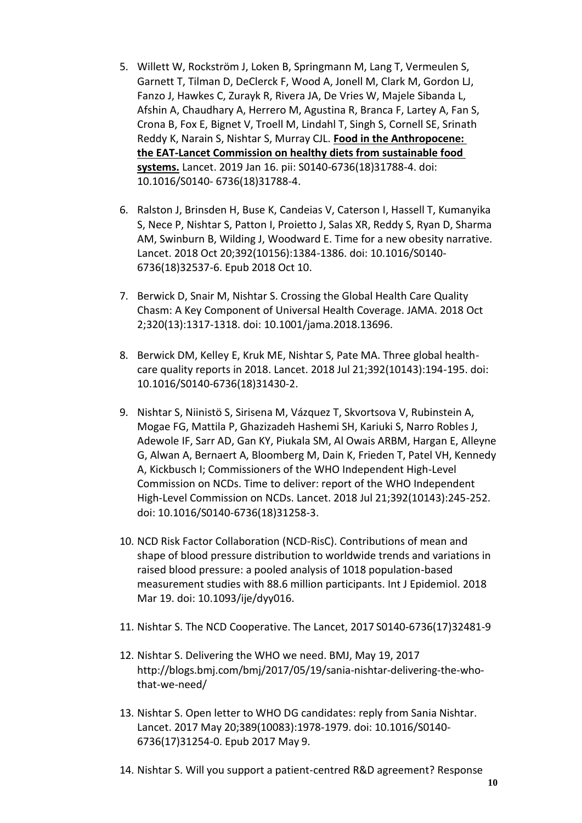- 5. Willett W, Rockström J, Loken B, Springmann M, Lang T, Vermeulen S, Garnett T, Tilman D, DeClerck F, Wood A, Jonell M, Clark M, Gordon LJ, Fanzo J, Hawkes C, Zurayk R, Rivera JA, De Vries W, Majele Sibanda L, Afshin A, Chaudhary A, Herrero M, Agustina R, Branca F, Lartey A, Fan S, Crona B, Fox E, Bignet V, Troell M, Lindahl T, Singh S, Cornell SE, Srinath Reddy K, Narain S, Nishtar S, Murray CJL. **Food in the Anthropocene: the EAT-Lancet Commission on healthy diets from sustainable food systems.** Lancet. 2019 Jan 16. pii: S0140-6736(18)31788-4. doi: 10.1016/S0140- 6736(18)31788-4.
- 6. Ralston J, Brinsden H, Buse K, Candeias V, Caterson I, Hassell T, Kumanyika S, Nece P, Nishtar S, Patton I, Proietto J, Salas XR, Reddy S, Ryan D, Sharma AM, Swinburn B, Wilding J, Woodward E. Time for a new obesity narrative. Lancet. 2018 Oct 20;392(10156):1384-1386. doi: 10.1016/S0140- 6736(18)32537-6. Epub 2018 Oct 10.
- 7. Berwick D, Snair M, Nishtar S. Crossing the Global Health Care Quality Chasm: A Key Component of Universal Health Coverage. JAMA. 2018 Oct 2;320(13):1317-1318. doi: 10.1001/jama.2018.13696.
- 8. Berwick DM, Kelley E, Kruk ME, Nishtar S, Pate MA. Three global healthcare quality reports in 2018. Lancet. 2018 Jul 21;392(10143):194-195. doi: 10.1016/S0140-6736(18)31430-2.
- 9. Nishtar S, Niinistö S, Sirisena M, Vázquez T, Skvortsova V, Rubinstein A, Mogae FG, Mattila P, Ghazizadeh Hashemi SH, Kariuki S, Narro Robles J, Adewole IF, Sarr AD, Gan KY, Piukala SM, Al Owais ARBM, Hargan E, Alleyne G, Alwan A, Bernaert A, Bloomberg M, Dain K, Frieden T, Patel VH, Kennedy A, Kickbusch I; Commissioners of the WHO Independent High-Level Commission on NCDs. Time to deliver: report of the WHO Independent High-Level Commission on NCDs. Lancet. 2018 Jul 21;392(10143):245-252. doi: 10.1016/S0140-6736(18)31258-3.
- 10. NCD Risk Factor Collaboration (NCD-RisC). Contributions of mean and shape of blood pressure distribution to worldwide trends and variations in raised blood pressure: a pooled analysis of 1018 population-based measurement studies with 88.6 million participants. Int J Epidemiol. 2018 Mar 19. doi: 10.1093/ije/dyy016.
- 11. Nishtar S. The NCD Cooperative. The Lancet, 2017 S0140-6736(17)32481-9
- 12. Nishtar S. Delivering the WHO we need. BMJ, May 19, 201[7](http://blogs.bmj.com/bmj/2017/05/19/sania-nishtar-delivering-the-who-that-we-need/) [http://blogs.bmj.com/bmj/2017/05/19/sania-nishtar-delivering-the-who](http://blogs.bmj.com/bmj/2017/05/19/sania-nishtar-delivering-the-who-that-we-need/)[that-we-need/](http://blogs.bmj.com/bmj/2017/05/19/sania-nishtar-delivering-the-who-that-we-need/)
- 13. Nishtar S. [Open letter to WHO DG candidates: reply from Sania Nishtar.](https://www.ncbi.nlm.nih.gov/pubmed/28499549) Lancet. 2017 May 20;389(10083):1978-1979. doi: 10.1016/S0140- 6736(17)31254-0. Epub 2017 May 9.
- 14. Nishtar S. [Will you support a patient-centred R&D agreement? Response](https://www.ncbi.nlm.nih.gov/pubmed/28111244)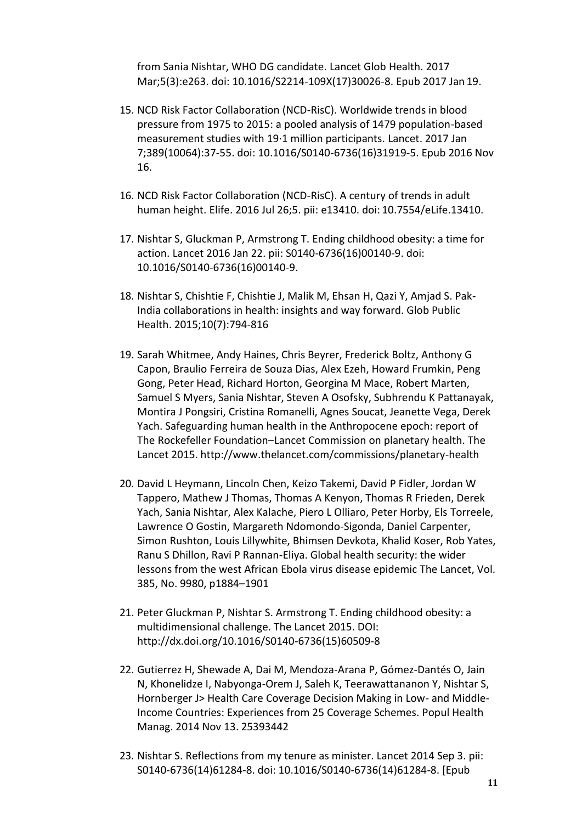[from Sania Nishtar, WHO DG candidate. L](https://www.ncbi.nlm.nih.gov/pubmed/28111244)ancet Glob Health. 2017 Mar;5(3):e263. doi: 10.1016/S2214-109X(17)30026-8. Epub 2017 Jan 19.

- 15. NCD Risk Factor Collaboration (NCD-RisC)[. Worldwide trends in blood](https://www.ncbi.nlm.nih.gov/pubmed/27863813) [pressure from 1975 to 2015: a pooled analysis of 1479 population-based](https://www.ncbi.nlm.nih.gov/pubmed/27863813) [measurement studies with 19·1 million participants. L](https://www.ncbi.nlm.nih.gov/pubmed/27863813)ancet. 2017 Jan 7;389(10064):37-55. doi: 10.1016/S0140-6736(16)31919-5. Epub 2016 Nov 16.
- 16. NCD Risk Factor Collaboration (NCD-RisC)[. A century of trends in adult](https://www.ncbi.nlm.nih.gov/pubmed/27458798) [human height. E](https://www.ncbi.nlm.nih.gov/pubmed/27458798)life. 2016 Jul 26;5. pii: e13410. doi: 10.7554/eLife.13410.
- 17. Nishtar S, Gluckman P, Armstrong T. [Ending childhood obesity: a time for](http://www.ncbi.nlm.nih.gov/pubmed/26823046) [action. L](http://www.ncbi.nlm.nih.gov/pubmed/26823046)ancet 2016 Jan 22. pii: S0140-6736(16)00140-9. doi: 10.1016/S0140-6736(16)00140-9.
- 18. Nishtar S, Chishtie F, Chishtie J, Malik M, Ehsan H, Qazi Y, Amjad S. Pak-India collaborations in health: insights and way forward. Glob Public Health. 2015;10(7):794-816
- 19. Sarah Whitmee, Andy Haines, Chris Beyrer, Frederick Boltz, Anthony G Capon, Braulio Ferreira de Souza Dias, Alex Ezeh, Howard Frumkin, Peng Gong, Peter Head, Richard Horton, Georgina M Mace, Robert Marten, Samuel S Myers, Sania Nishtar, Steven A Osofsky, Subhrendu K Pattanayak, Montira J Pongsiri, Cristina Romanelli, Agnes Soucat, Jeanette Vega, Derek Yach. Safeguarding human health in the Anthropocene epoch: report of The Rockefeller Foundation–Lancet Commission on planetary health. The Lancet 2015. <http://www.thelancet.com/commissions/planetary-health>
- 20. David L Heymann, Lincoln Chen, Keizo Takemi, David P Fidler, Jordan W Tappero, Mathew J Thomas, Thomas A Kenyon, Thomas R Frieden, Derek Yach, Sania Nishtar, Alex Kalache, Piero L Olliaro, Peter Horby, Els Torreele, Lawrence O Gostin, Margareth Ndomondo-Sigonda, Daniel Carpenter, Simon Rushton, Louis Lillywhite, Bhimsen Devkota, Khalid Koser, Rob Yates, Ranu S Dhillon, Ravi P Rannan-Eliya. Global health security: the wider lessons from the west African Ebola virus disease epidemic The Lancet, Vol. 385, No. 9980, p1884–1901
- 21. Peter Gluckman P, Nishtar S. Armstrong T. Ending childhood obesity: a multidimensional challenge. The Lancet 2015. DOI[:](http://dx.doi.org/10.1016/S0140-6736(15)60509-8) [http://dx.doi.org/10.1016/S0140-6736\(15\)60509-8](http://dx.doi.org/10.1016/S0140-6736(15)60509-8)
- 22. Gutierrez H, Shewade A, Dai M, Mendoza-Arana P, Gómez-Dantés O, Jain N, Khonelidze I, Nabyonga-Orem J, Saleh K, Teerawattananon Y, Nishtar S, Hornberger J> [Health Care Coverage Decision Making in Low-](http://www.ncbi.nlm.nih.gov/pubmed/25393442) and Middle[-](http://www.ncbi.nlm.nih.gov/pubmed/25393442)[Income Countries: Experiences from 25 Coverage Schemes. P](http://www.ncbi.nlm.nih.gov/pubmed/25393442)opul Health Manag. 2014 Nov 13. 25393442
- 23. Nishtar S. [Reflections from my tenure as minister. L](http://www.ncbi.nlm.nih.gov/pubmed/25194447)ancet 2014 Sep 3. pii: S0140-6736(14)61284-8. doi: 10.1016/S0140-6736(14)61284-8. [Epub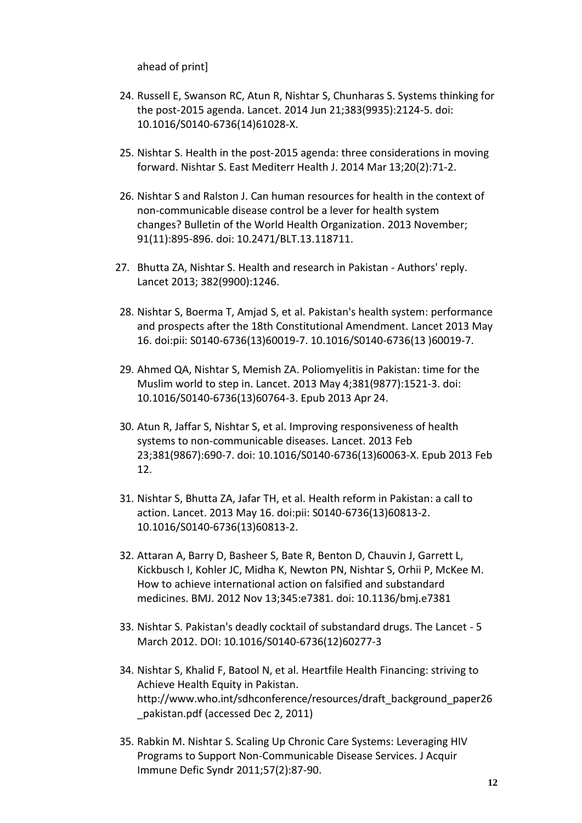ahead of print]

- 24. Russell E, Swanson RC, Atun R, Nishtar S, Chunharas S. [Systems thinking for](http://www.ncbi.nlm.nih.gov/pubmed/24953473) [the post-2015 agenda. L](http://www.ncbi.nlm.nih.gov/pubmed/24953473)ancet. 2014 Jun 21;383(9935):2124-5. doi: 10.1016/S0140-6736(14)61028-X.
- 25. Nishtar S. [Health in the post-2015 agenda: three considerations in moving](http://www.ncbi.nlm.nih.gov/pubmed/24945554) [forward. N](http://www.ncbi.nlm.nih.gov/pubmed/24945554)ishtar S. East Mediterr Health J. 2014 Mar 13;20(2):71-2.
- 26. Nishtar S and Ralston J. [Can human resources for health in the context of](http://www.who.int/bulletin/volumes/91/11/13-118711/en/index.html) [non-communicable disease control be a lever for health system](http://www.who.int/bulletin/volumes/91/11/13-118711/en/index.html) [changes?](http://www.who.int/bulletin/volumes/91/11/13-118711/en/index.html) [Bulletin of the World Health Organization.](http://www.who.int/bulletin/volumes/91/11/13-118711.pdf) 2013 November; 91(11):895-896. doi: 10.2471/BLT.13.118711.
- 27. Bhutta ZA, Nishtar S. [Health and research in Pakistan -](http://www.ncbi.nlm.nih.gov/pubmed/24120199) Authors' reply. Lancet 2013; 382(9900):1246.
- 28. Nishtar S, Boerma T, Amjad S, et al. [Pakistan's health system: performance](http://www.ncbi.nlm.nih.gov/pubmed/23684254) [and prospects after the 18th Constitutional Amendment. L](http://www.ncbi.nlm.nih.gov/pubmed/23684254)ancet 2013 May 16. doi:pii: S0140-6736(13)60019-7. 10.1016/S0140-6736(13 )60019-7.
- 29. Ahmed QA, Nishtar S, Memish ZA. [Poliomyelitis in Pakistan: time for the](http://www.ncbi.nlm.nih.gov/pubmed/23623055) [Muslim world to step in. L](http://www.ncbi.nlm.nih.gov/pubmed/23623055)ancet. 2013 May 4;381(9877):1521-3. doi: 10.1016/S0140-6736(13)60764-3. Epub 2013 Apr 24.
- 30. Atun R, Jaffar S, Nishtar S, et al. [Improving responsiveness of health](http://www.ncbi.nlm.nih.gov/pubmed/23410609) [systems to non-communicable diseases. L](http://www.ncbi.nlm.nih.gov/pubmed/23410609)ancet. 2013 Feb 23;381(9867):690-7. doi: 10.1016/S0140-6736(13)60063-X. Epub 2013 Feb 12.
- 31. Nishtar S, Bhutta ZA, Jafar TH, et al. [Health reform in Pakistan: a call to](http://www.ncbi.nlm.nih.gov/pubmed/23684259) [action. L](http://www.ncbi.nlm.nih.gov/pubmed/23684259)ancet. 2013 May 16. doi:pii: S0140-6736(13)60813-2. 10.1016/S0140-6736(13)60813-2.
- 32. Attaran A, Barry D, Basheer S, Bate R, Benton D, Chauvin J, Garrett L, Kickbusch I, Kohler JC, Midha K, Newton PN, Nishtar S, Orhii P, McKee M[.](http://www.ncbi.nlm.nih.gov/pubmed/23149211) [How to achieve international action on falsified and substandard](http://www.ncbi.nlm.nih.gov/pubmed/23149211) [medicines. B](http://www.ncbi.nlm.nih.gov/pubmed/23149211)MJ. 2012 Nov 13;345:e7381. doi: 10.1136/bmj.e7381
- 33. Nishtar S. Pakistan's deadly cocktail of substandard drugs. The Lancet 5 March 2012. DOI: 10.1016/S0140-6736(12)60277-3
- 34. Nishtar S, Khalid F, Batool N, et al. Heartfile Health Financing: striving to Achieve Health Equity in Pakistan[.](http://www.who.int/sdhconference/resources/draft_background_paper26_pakistan.pdf) [http://www.who.int/sdhconference/resources/draft\\_background\\_paper26](http://www.who.int/sdhconference/resources/draft_background_paper26_pakistan.pdf) [\\_pakistan.pdf \(](http://www.who.int/sdhconference/resources/draft_background_paper26_pakistan.pdf)accessed Dec 2, 2011)
- 35. Rabkin M. Nishtar S. Scaling Up Chronic Care Systems: Leveraging HIV Programs to Support Non-Communicable Disease Services. J Acquir Immune Defic Syndr 2011;57(2):87-90.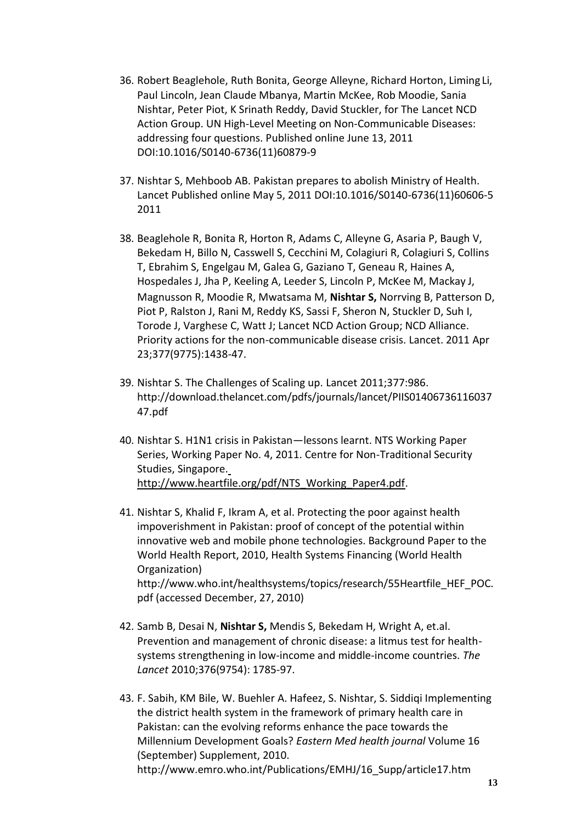- 36. Robert Beaglehole, Ruth Bonita, George Alleyne, Richard Horton, Liming Li, Paul Lincoln, Jean Claude Mbanya, Martin McKee, Rob Moodie, Sania Nishtar, Peter Piot, K Srinath Reddy, David Stuckler, for The Lancet NCD Action Group. UN High-Level Meeting on Non-Communicable Diseases: addressing four questions. Published online June 13, 2011 DOI:10.1016/S0140-6736(11)60879-9
- 37. Nishtar S, Mehboob AB. Pakistan prepares to abolish Ministry of Health. Lancet Published online May 5, 2011 DOI:10.1016/S0140-6736(11)60606-5 2011
- 38. Beaglehole R, Bonita R, Horton R, Adams C, Alleyne G, Asaria P, Baugh V, Bekedam H, Billo N, Casswell S, Cecchini M, Colagiuri R, Colagiuri S, Collins T, Ebrahim S, Engelgau M, Galea G, Gaziano T, Geneau R, Haines A, Hospedales J, Jha P, Keeling A, Leeder S, Lincoln P, McKee M, Mackay J, Magnusson R, Moodie R, Mwatsama M, **Nishtar S,** Norrving B, Patterson D, Piot P, Ralston J, Rani M, Reddy KS, Sassi F, Sheron N, Stuckler D, Suh I, Torode J, Varghese C, Watt J; Lancet NCD Action Group; NCD Alliance. [Priority actions for the non-communicable disease crisis. L](http://www.ncbi.nlm.nih.gov/pubmed/21474174)ancet. 2011 Apr 23;377(9775):1438-47.
- 39. Nishtar S. The Challenges of Scaling up. Lancet 2011;377:986[.](http://download.thelancet.com/pdfs/journals/lancet/PIIS01406736116037) <http://download.thelancet.com/pdfs/journals/lancet/PIIS01406736116037> 47.pdf
- 40. Nishtar S. H1N1 crisis in Pakistan—lessons learnt. NTS Working Paper Series, Working Paper No. 4, 2011. Centre for Non-Traditional Security Studies, Singapore[.](http://www.heartfile.org/pdf/NTS_Working_Paper4.pdf) [http://www.heartfile.org/pdf/NTS\\_Working\\_Paper4.pdf.](http://www.heartfile.org/pdf/NTS_Working_Paper4.pdf)
- 41. Nishtar S, Khalid F, Ikram A, et al. Protecting the poor against health impoverishment in Pakistan: proof of concept of the potential within innovative web and mobile phone technologies. Background Paper to the World Health Report, 2010, Health Systems Financing (World Health Organization[\)](http://www.who.int/healthsystems/topics/research/55Heartfile_HEF_POC.pdf) [http://www.who.int/healthsystems/topics/research/55Heartfile\\_HEF\\_POC.](http://www.who.int/healthsystems/topics/research/55Heartfile_HEF_POC.pdf) [pdf \(](http://www.who.int/healthsystems/topics/research/55Heartfile_HEF_POC.pdf)accessed December, 27, 2010)
- 42. Samb B, Desai N, **Nishtar S,** Mendis S, Bekedam H, Wright A, et.al. Prevention and management of chronic disease: a litmus test for healthsystems strengthening in low-income and middle-income countries. *The Lancet* 2010;376(9754): 1785-97.
- 43. F. Sabih, KM Bile, W. Buehler A. Hafeez, S. Nishtar, S. Siddiqi Implementing the district health system in the framework of primary health care in Pakistan: can the evolving reforms enhance the pace towards the Millennium Development Goals? *Eastern Med health journal* Volume 16 (September) Supplement, 2010[.](http://www.emro.who.int/Publications/EMHJ/16_Supp/article17.htm) [http://www.emro.who.int/Publications/EMHJ/16\\_Supp/article17.htm](http://www.emro.who.int/Publications/EMHJ/16_Supp/article17.htm)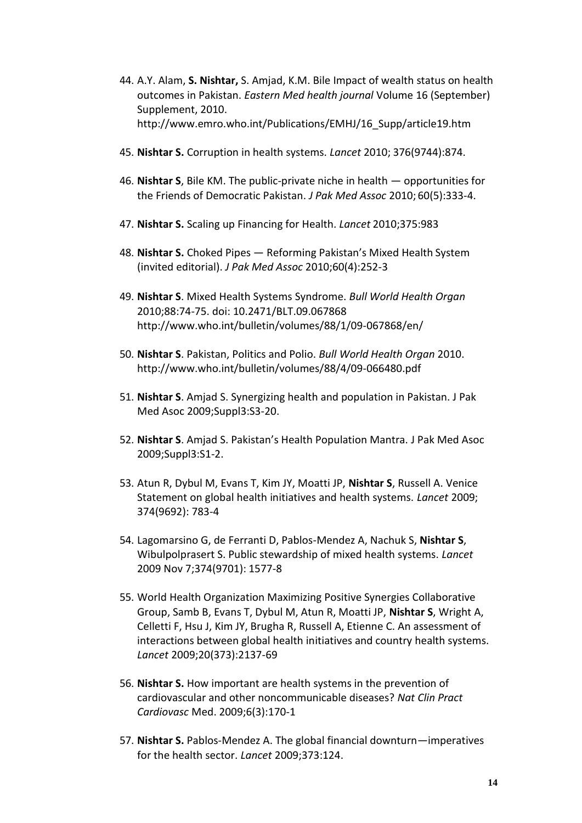- 44. A.Y. Alam, **S. Nishtar,** S. Amjad, K.M. Bile Impact of wealth status on health outcomes in Pakistan. *Eastern Med health journal* Volume 16 (September) Supplement, 2010[.](http://www.emro.who.int/Publications/EMHJ/16_Supp/article19.htm) [http://www.emro.who.int/Publications/EMHJ/16\\_Supp/article19.htm](http://www.emro.who.int/Publications/EMHJ/16_Supp/article19.htm)
- 45. **Nishtar S.** Corruption in health systems. *Lancet* 2010; 376(9744):874.
- 46. **Nishtar S**, Bile KM. The public-private niche in health opportunities for the Friends of Democratic Pakistan. *J Pak Med Assoc* 2010; 60(5):333-4.
- 47. **Nishtar S.** Scaling up Financing for Health. *Lancet* 2010;375:983
- 48. **Nishtar S.** Choked Pipes Reforming Pakistan's Mixed Health System (invited editorial). *J Pak Med Assoc* 2010;60(4):252-3
- 49. **Nishtar S**. Mixed Health Systems Syndrome. *Bull World Health Organ*  2010;88:74-75. doi: 10.2471/BLT.09.06786[8](http://www.who.int/bulletin/volumes/88/1/09-067868/en/) <http://www.who.int/bulletin/volumes/88/1/09-067868/en/>
- 50. **Nishtar S**. Pakistan, Politics and Polio. *Bull World Health Organ* 2010[.](http://www.who.int/bulletin/volumes/88/4/09-066480.pdf) <http://www.who.int/bulletin/volumes/88/4/09-066480.pdf>
- 51. **Nishtar S**. Amjad S. Synergizing health and population in Pakistan. J Pak Med Asoc 2009;Suppl3:S3-20.
- 52. **Nishtar S**. Amjad S. Pakistan's Health Population Mantra. J Pak Med Asoc 2009;Suppl3:S1-2.
- 53. Atun R, Dybul M, Evans T, Kim JY, Moatti JP, **Nishtar S**, Russell A. Venice Statement on global health initiatives and health systems. *Lancet* 2009; 374(9692): 783-4
- 54. Lagomarsino G, de Ferranti D, Pablos-Mendez A, Nachuk S, **Nishtar S**, Wibulpolprasert S. Public stewardship of mixed health systems. *Lancet*  2009 Nov 7;374(9701): 1577-8
- 55. World Health Organization Maximizing Positive Synergies Collaborative Group, Samb B, Evans T, Dybul M, Atun R, Moatti JP, **Nishtar S**, Wright A, Celletti F, Hsu J, Kim JY, Brugha R, Russell A, Etienne C. An assessment of interactions between global health initiatives and country health systems. *Lancet* 2009;20(373):2137-69
- 56. **Nishtar S.** How important are health systems in the prevention of cardiovascular and other noncommunicable diseases? *Nat Clin Pract Cardiovasc* Med. 2009;6(3):170-1
- 57. **Nishtar S.** Pablos-Mendez A. The global financial downturn—imperatives for the health sector. *Lancet* 2009;373:124.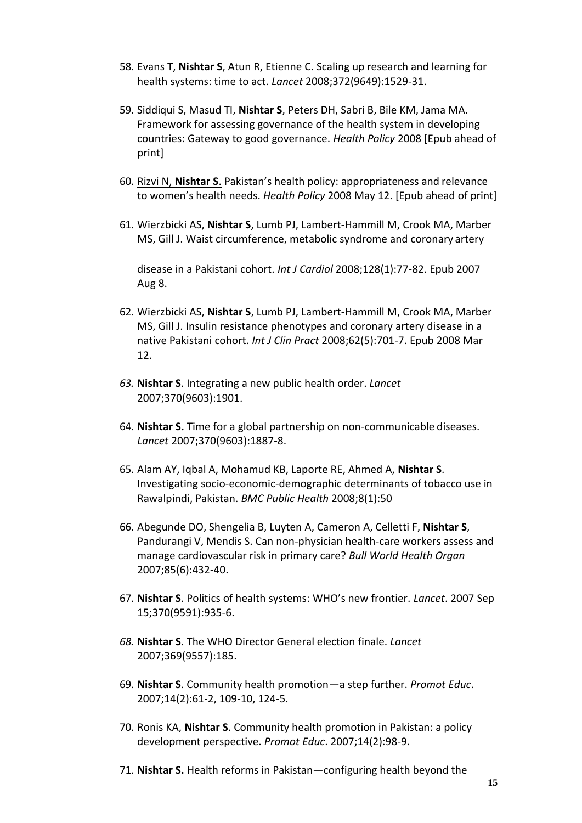- 58. Evans T, **Nishtar S**, Atun R, Etienne C. [Scaling up research and learning for](http://www.ncbi.nlm.nih.gov/pubmed/18984175?ordinalpos=1&itool=EntrezSystem2.PEntrez.Pubmed.Pubmed_ResultsPanel.Pubmed_DefaultReportPanel.Pubmed_RVDocSum) [health systems: time to act.](http://www.ncbi.nlm.nih.gov/pubmed/18984175?ordinalpos=1&itool=EntrezSystem2.PEntrez.Pubmed.Pubmed_ResultsPanel.Pubmed_DefaultReportPanel.Pubmed_RVDocSum) *Lancet* 2008;372(9649):1529-31.
- 59. Siddiqui S, Masud TI, **Nishtar S**, Peters DH, Sabri B, Bile KM, Jama MA. Framework for assessing governance of the health system in developing countries: Gateway to good governance. *Health Policy* 2008 [Epub ahead of print]
- 60. Rizvi N, **[Nishtar S](http://www.ncbi.nlm.nih.gov/pubmed/18479774?ordinalpos=1&itool=EntrezSystem2.PEntrez.Pubmed.Pubmed_ResultsPanel.Pubmed_RVDocSum)**. Pakistan's health policy: appropriateness and relevance to women's health needs. *Health Policy* 2008 May 12. [Epub ahead of print]
- 61. Wierzbicki AS, **Nishtar S**[, Lumb PJ, Lambert-Hammill M, Crook MA, Marber](http://www.ncbi.nlm.nih.gov/pubmed/17689739?ordinalpos=6&itool=EntrezSystem2.PEntrez.Pubmed.Pubmed_ResultsPanel.Pubmed_RVDocSum) [MS, Gill J. W](http://www.ncbi.nlm.nih.gov/pubmed/17689739?ordinalpos=6&itool=EntrezSystem2.PEntrez.Pubmed.Pubmed_ResultsPanel.Pubmed_RVDocSum)aist circumference, metabolic syndrome and coronary artery

disease in a Pakistani cohort. *Int J Cardiol* 2008;128(1):77-82. Epub 2007 Aug 8.

- 62. Wierzbicki AS, **Nishtar S**[, Lumb PJ, Lambert-Hammill M, Crook MA, Marber](http://www.ncbi.nlm.nih.gov/pubmed/18341566?ordinalpos=3&itool=EntrezSystem2.PEntrez.Pubmed.Pubmed_ResultsPanel.Pubmed_RVDocSum) [MS, Gill J. I](http://www.ncbi.nlm.nih.gov/pubmed/18341566?ordinalpos=3&itool=EntrezSystem2.PEntrez.Pubmed.Pubmed_ResultsPanel.Pubmed_RVDocSum)nsulin resistance phenotypes and coronary artery disease in a native Pakistani cohort. *Int J Clin Pract* 2008;62(5):701-7. Epub 2008 Mar 12.
- *63.* **Nishtar S**. Integrating a new public health order. *Lancet* 2007;370(9603):1901.
- 64. **[Nishtar S.](http://www.ncbi.nlm.nih.gov/pubmed/18068498?ordinalpos=4&itool=EntrezSystem2.PEntrez.Pubmed.Pubmed_ResultsPanel.Pubmed_RVDocSum)** Time for a global partnership on non-communicable diseases. *Lancet* 2007;370(9603):1887-8.
- 65. [Alam AY, Iqbal A, Mohamud KB, Laporte RE, Ahmed A,](http://www.ncbi.nlm.nih.gov/pubmed/18254981?ordinalpos=1&itool=EntrezSystem2.PEntrez.Pubmed.Pubmed_ResultsPanel.Pubmed_RVDocSum) **Nishtar S**. Investigating socio-economic-demographic determinants of tobacco use in Rawalpindi, Pakistan. *BMC Public Health* 2008;8(1):50
- 66. [Abegunde DO, Shengelia B, Luyten A, Cameron A, Celletti F,](http://www.ncbi.nlm.nih.gov/pubmed/17639240?ordinalpos=9&itool=EntrezSystem2.PEntrez.Pubmed.Pubmed_ResultsPanel.Pubmed_RVDocSum) **Nishtar S**[,](http://www.ncbi.nlm.nih.gov/pubmed/17639240?ordinalpos=9&itool=EntrezSystem2.PEntrez.Pubmed.Pubmed_ResultsPanel.Pubmed_RVDocSum) [Pandurangi V, Mendis S. C](http://www.ncbi.nlm.nih.gov/pubmed/17639240?ordinalpos=9&itool=EntrezSystem2.PEntrez.Pubmed.Pubmed_ResultsPanel.Pubmed_RVDocSum)an non-physician health-care workers assess and manage cardiovascular risk in primary care? *Bull World Health Organ*  2007;85(6):432-40.
- 67. **Nishtar S**. Politics of health systems: WHO's new frontier. *Lancet*. 2007 Sep 15;370(9591):935-6.
- *68.* **Nishtar S**. The WHO Director General election finale. *Lancet* 2007;369(9557):185.
- 69. **Nishtar S**. Community health promotion—a step further. *Promot Educ*. 2007;14(2):61-2, 109-10, 124-5.
- 70. [Ronis KA,](http://www.ncbi.nlm.nih.gov/sites/entrez?Db=pubmed&Cmd=ShowDetailView&TermToSearch=17665712&ordinalpos=3&itool=EntrezSystem2.PEntrez.Pubmed.Pubmed_ResultsPanel.Pubmed_RVDocSum) **Nishtar S**. Community health promotion in Pakistan: a policy development perspective. *Promot Educ*. 2007;14(2):98-9.
- 71. **[Nishtar S.](http://www.ncbi.nlm.nih.gov/sites/entrez?Db=pubmed&Cmd=ShowDetailView&TermToSearch=17595839&ordinalpos=6&itool=EntrezSystem2.PEntrez.Pubmed.Pubmed_ResultsPanel.Pubmed_RVDocSum)** Health reforms in Pakistan—configuring health beyond the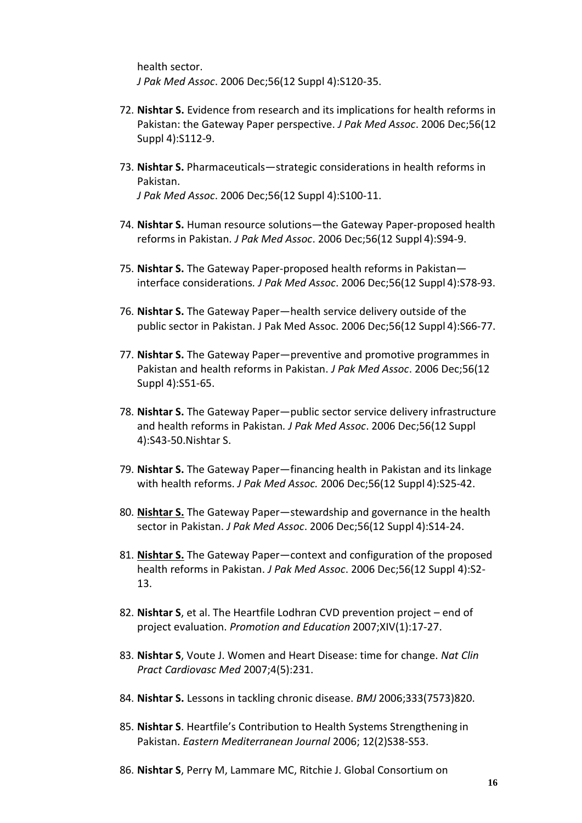health sector. *J Pak Med Assoc*. 2006 Dec;56(12 Suppl 4):S120-35.

- 72. **[Nishtar S.](http://www.ncbi.nlm.nih.gov/sites/entrez?Db=pubmed&Cmd=ShowDetailView&TermToSearch=17595838&ordinalpos=7&itool=EntrezSystem2.PEntrez.Pubmed.Pubmed_ResultsPanel.Pubmed_RVDocSum)** Evidence from research and its implications for health reforms in Pakistan: the Gateway Paper perspective. *J Pak Med Assoc*. 2006 Dec;56(12 Suppl 4):S112-9.
- 73. **[Nishtar S.](http://www.ncbi.nlm.nih.gov/sites/entrez?Db=pubmed&Cmd=ShowDetailView&TermToSearch=17595838&ordinalpos=7&itool=EntrezSystem2.PEntrez.Pubmed.Pubmed_ResultsPanel.Pubmed_RVDocSum)** Pharmaceuticals—strategic considerations in health reforms in Pakistan. *J Pak Med Assoc*. 2006 Dec;56(12 Suppl 4):S100-11.
- 74. **[Nishtar S.](http://www.ncbi.nlm.nih.gov/sites/entrez?Db=pubmed&Cmd=ShowDetailView&TermToSearch=17595836&ordinalpos=9&itool=EntrezSystem2.PEntrez.Pubmed.Pubmed_ResultsPanel.Pubmed_RVDocSum)** Human resource solutions—the Gateway Paper-proposed health reforms in Pakistan*. J Pak Med Assoc*. 2006 Dec;56(12 Suppl 4):S94-9.
- 75. **[Nishtar S.](http://www.ncbi.nlm.nih.gov/sites/entrez?Db=pubmed&Cmd=ShowDetailView&TermToSearch=17595835&ordinalpos=10&itool=EntrezSystem2.PEntrez.Pubmed.Pubmed_ResultsPanel.Pubmed_RVDocSum)** The Gateway Paper-proposed health reforms in Pakistan interface considerations*. J Pak Med Assoc*. 2006 Dec;56(12 Suppl 4):S78-93.
- 76. **[Nishtar S.](http://www.ncbi.nlm.nih.gov/sites/entrez?Db=pubmed&Cmd=ShowDetailView&TermToSearch=17595834&ordinalpos=11&itool=EntrezSystem2.PEntrez.Pubmed.Pubmed_ResultsPanel.Pubmed_RVDocSum)** The Gateway Paper—health service delivery outside of the public sector in Pakistan. J Pak Med Assoc. 2006 Dec;56(12 Suppl 4):S66-77.
- 77. **[Nishtar S.](http://www.ncbi.nlm.nih.gov/sites/entrez?Db=pubmed&Cmd=ShowDetailView&TermToSearch=17595833&ordinalpos=12&itool=EntrezSystem2.PEntrez.Pubmed.Pubmed_ResultsPanel.Pubmed_RVDocSum)** The Gateway Paper—preventive and promotive programmes in Pakistan and health reforms in Pakistan. *J Pak Med Assoc*. 2006 Dec;56(12 Suppl 4):S51-65.
- 78. **[Nishtar S.](http://www.ncbi.nlm.nih.gov/sites/entrez?Db=pubmed&Cmd=ShowDetailView&TermToSearch=17595832&ordinalpos=13&itool=EntrezSystem2.PEntrez.Pubmed.Pubmed_ResultsPanel.Pubmed_RVDocSum)** The Gateway Paper—public sector service delivery infrastructure and health reforms in Pakistan*. J Pak Med Assoc*. 2006 Dec;56(12 Suppl 4):S43-50[.Nishtar](http://www.ncbi.nlm.nih.gov/sites/entrez?Db=pubmed&Cmd=ShowDetailView&TermToSearch=17595831&ordinalpos=14&itool=EntrezSystem2.PEntrez.Pubmed.Pubmed_ResultsPanel.Pubmed_RVDocSum) S.
- 79. **[Nishtar S.](http://www.ncbi.nlm.nih.gov/sites/entrez?Db=pubmed&Cmd=ShowDetailView&TermToSearch=17595832&ordinalpos=13&itool=EntrezSystem2.PEntrez.Pubmed.Pubmed_ResultsPanel.Pubmed_RVDocSum)** The Gateway Paper—financing health in Pakistan and its linkage with health reforms. *J Pak Med Assoc.* 2006 Dec;56(12 Suppl 4):S25-42.
- 80. **[Nishtar S.](http://www.ncbi.nlm.nih.gov/sites/entrez?Db=pubmed&Cmd=ShowDetailView&TermToSearch=17595830&ordinalpos=15&itool=EntrezSystem2.PEntrez.Pubmed.Pubmed_ResultsPanel.Pubmed_RVDocSum)** The Gateway Paper—stewardship and governance in the health sector in Pakistan. *J Pak Med Assoc*. 2006 Dec;56(12 Suppl 4):S14-24.
- 81. **[Nishtar S.](http://www.ncbi.nlm.nih.gov/sites/entrez?Db=pubmed&Cmd=ShowDetailView&TermToSearch=17595829&ordinalpos=16&itool=EntrezSystem2.PEntrez.Pubmed.Pubmed_ResultsPanel.Pubmed_RVDocSum)** The Gateway Paper—context and configuration of the proposed health reforms in Pakistan. *J Pak Med Assoc*. 2006 Dec;56(12 Suppl 4):S2- 13.
- 82. **Nishtar S**, et al. The Heartfile Lodhran CVD prevention project end of project evaluation. *Promotion and Education* 2007;XIV(1):17-27.
- 83. **Nishtar S**, Voute J. Women and Heart Disease: time for change. *Nat Clin Pract Cardiovasc Med* 2007;4(5):231.
- 84. **Nishtar S.** Lessons in tackling chronic disease. *BMJ* 2006;333(7573)820.
- 85. **Nishtar S**. Heartfile's Contribution to Health Systems Strengthening in Pakistan. *Eastern Mediterranean Journal* 2006; 12(2)S38-S53.
- 86. **Nishtar S**, Perry M, Lammare MC, Ritchie J. Global Consortium on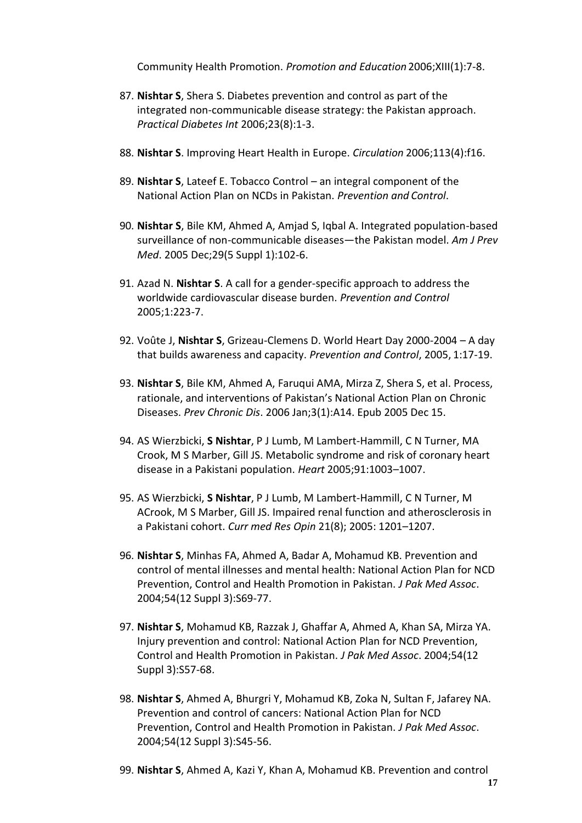Community Health Promotion. *Promotion and Education* 2006;XIII(1):7-8.

- 87. **Nishtar S**, Shera S. Diabetes prevention and control as part of the integrated non-communicable disease strategy: the Pakistan approach. *Practical Diabetes Int* 2006;23(8):1-3.
- 88. **Nishtar S**. Improving Heart Health in Europe. *Circulation* 2006;113(4):f16.
- 89. **Nishtar S**, Lateef E. Tobacco Control an integral component of the National Action Plan on NCDs in Pakistan. *Prevention and Control*.
- 90. **Nishtar S**, Bile KM, Ahmed A, Amjad S, Iqbal A. Integrated population-based surveillance of non-communicable diseases—the Pakistan model. *Am J Prev Med*. 2005 Dec;29(5 Suppl 1):102-6.
- 91. Azad N. **Nishtar S**. A call for a gender-specific approach to address the worldwide cardiovascular disease burden. *Prevention and Control*  2005;1:223-7.
- 92. Voûte J, **Nishtar S**, Grizeau-Clemens D. World Heart Day 2000-2004 A day that builds awareness and capacity. *Prevention and Control*, 2005, 1:17-19.
- 93. **Nishtar S**, Bile KM, Ahmed A, Faruqui AMA, Mirza Z, Shera S, et al. Process, rationale, and interventions of Pakistan's National Action Plan on Chronic Diseases. *Prev Chronic Dis*. 2006 Jan;3(1):A14. Epub 2005 Dec 15.
- 94. AS Wierzbicki, **S Nishtar**, P J Lumb, M Lambert-Hammill, C N Turner, MA Crook, M S Marber, Gill JS. Metabolic syndrome and risk of coronary heart disease in a Pakistani population. *Heart* 2005;91:1003–1007.
- 95. AS Wierzbicki, **S Nishtar**, P J Lumb, M Lambert-Hammill, C N Turner, M ACrook, M S Marber, Gill JS. Impaired renal function and atherosclerosis in a Pakistani cohort. *Curr med Res Opin* 21(8); 2005: 1201–1207.
- 96. **Nishtar S**, Minhas FA, Ahmed A, Badar A, Mohamud KB. Prevention and control of mental illnesses and mental health: National Action Plan for NCD Prevention, Control and Health Promotion in Pakistan. *J Pak Med Assoc*. 2004;54(12 Suppl 3):S69-77.
- 97. **Nishtar S**, Mohamud KB, Razzak J, Ghaffar A, Ahmed A, Khan SA, Mirza YA. Injury prevention and control: National Action Plan for NCD Prevention, Control and Health Promotion in Pakistan. *J Pak Med Assoc*. 2004;54(12 Suppl 3):S57-68.
- 98. **Nishtar S**, Ahmed A, Bhurgri Y, Mohamud KB, Zoka N, Sultan F, Jafarey NA. Prevention and control of cancers: National Action Plan for NCD Prevention, Control and Health Promotion in Pakistan. *J Pak Med Assoc*. 2004;54(12 Suppl 3):S45-56.
- 99. **Nishtar S**, Ahmed A, Kazi Y, Khan A, Mohamud KB. Prevention and control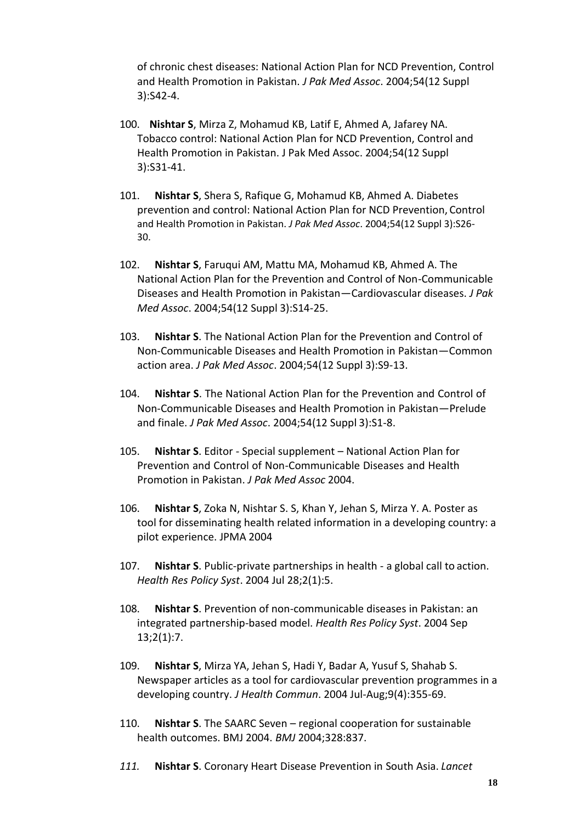of chronic chest diseases: National Action Plan for NCD Prevention, Control and Health Promotion in Pakistan. *J Pak Med Assoc*. 2004;54(12 Suppl 3):S42-4.

- 100. **Nishtar S**, Mirza Z, Mohamud KB, Latif E, Ahmed A, Jafarey NA. Tobacco control: National Action Plan for NCD Prevention, Control and Health Promotion in Pakistan. J Pak Med Assoc. 2004;54(12 Suppl 3):S31-41.
- 101. **Nishtar S**, Shera S, Rafique G, Mohamud KB, Ahmed A. Diabetes prevention and control: National Action Plan for NCD Prevention, Control and Health Promotion in Pakistan. *J Pak Med Assoc*. 2004;54(12 Suppl 3):S26- 30.
- 102. **Nishtar S**, Faruqui AM, Mattu MA, Mohamud KB, Ahmed A. The National Action Plan for the Prevention and Control of Non-Communicable Diseases and Health Promotion in Pakistan—Cardiovascular diseases. *J Pak Med Assoc*. 2004;54(12 Suppl 3):S14-25.
- 103. **Nishtar S**. The National Action Plan for the Prevention and Control of Non-Communicable Diseases and Health Promotion in Pakistan—Common action area. *J Pak Med Assoc*. 2004;54(12 Suppl 3):S9-13.
- 104. **Nishtar S**. The National Action Plan for the Prevention and Control of Non-Communicable Diseases and Health Promotion in Pakistan—Prelude and finale. *J Pak Med Assoc*. 2004;54(12 Suppl 3):S1-8.
- 105. **Nishtar S**. Editor Special supplement National Action Plan for Prevention and Control of Non-Communicable Diseases and Health Promotion in Pakistan. *J Pak Med Assoc* 2004.
- 106. **Nishtar S**, Zoka N, Nishtar S. S, Khan Y, Jehan S, Mirza Y. A. Poster as tool for disseminating health related information in a developing country: a pilot experience. JPMA 2004
- 107. **Nishtar S**. Public-private partnerships in health a global call to action. *Health Res Policy Syst*. 2004 Jul 28;2(1):5.
- 108. **Nishtar S**. Prevention of non-communicable diseases in Pakistan: an integrated partnership-based model. *Health Res Policy Syst*. 2004 Sep 13;2(1):7.
- 109. **Nishtar S**, Mirza YA, Jehan S, Hadi Y, Badar A, Yusuf S, Shahab S. Newspaper articles as a tool for cardiovascular prevention programmes in a developing country. *J Health Commun*. 2004 Jul-Aug;9(4):355-69.
- 110. **Nishtar S**. The SAARC Seven regional cooperation for sustainable health outcomes. BMJ 2004. *BMJ* 2004;328:837.
- *111.* **Nishtar S**. Coronary Heart Disease Prevention in South Asia. *Lancet*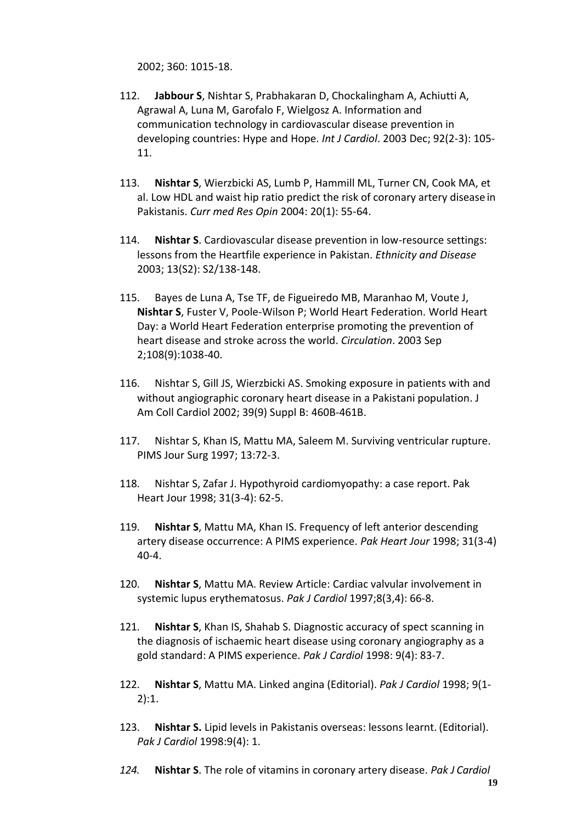2002; 360: 1015-18.

- 112. **Jabbour S**, Nishtar S, Prabhakaran D, Chockalingham A, Achiutti A, Agrawal A, Luna M, Garofalo F, Wielgosz A. Information and communication technology in cardiovascular disease prevention in developing countries: Hype and Hope. *Int J Cardiol*. 2003 Dec; 92(2-3): 105- 11.
- 113. **Nishtar S**, Wierzbicki AS, Lumb P, Hammill ML, Turner CN, Cook MA, et al. Low HDL and waist hip ratio predict the risk of coronary artery disease in Pakistanis. *Curr med Res Opin* 2004: 20(1): 55-64.
- 114. **Nishtar S**. Cardiovascular disease prevention in low-resource settings: lessons from the Heartfile experience in Pakistan. *Ethnicity and Disease*  2003; 13(S2): S2/138-148.
- 115. [Bayes de Luna A, Tse TF, de Figueiredo MB, Maranhao M, Voute J,](http://www.ncbi.nlm.nih.gov/entrez/query.fcgi?cmd=Retrieve&db=PubMed&list_uids=12952824&dopt=Abstract) **Nishtar S**[, Fuster V, Poole-Wilson P; World Heart Federation. W](http://www.ncbi.nlm.nih.gov/entrez/query.fcgi?cmd=Retrieve&db=PubMed&list_uids=12952824&dopt=Abstract)orld Heart Day: a World Heart Federation enterprise promoting the prevention of heart disease and stroke across the world. *Circulation*. 2003 Sep 2;108(9):1038-40.
- 116. Nishtar S, Gill JS, Wierzbicki AS. Smoking exposure in patients with and without angiographic coronary heart disease in a Pakistani population. J Am Coll Cardiol 2002; 39(9) Suppl B: 460B-461B.
- 117. Nishtar S, Khan IS, Mattu MA, Saleem M. Surviving ventricular rupture. PIMS Jour Surg 1997; 13:72-3.
- 118. Nishtar S, Zafar J. Hypothyroid cardiomyopathy: a case report. Pak Heart Jour 1998; 31(3-4): 62-5.
- 119. **Nishtar S**, Mattu MA, Khan IS. Frequency of left anterior descending artery disease occurrence: A PIMS experience. *Pak Heart Jour* 1998; 31(3-4) 40-4.
- 120. **Nishtar S**, Mattu MA. Review Article: Cardiac valvular involvement in systemic lupus erythematosus. *Pak J Cardiol* 1997;8(3,4): 66-8.
- 121. **Nishtar S**, Khan IS, Shahab S. Diagnostic accuracy of spect scanning in the diagnosis of ischaemic heart disease using coronary angiography as a gold standard: A PIMS experience. *Pak J Cardiol* 1998: 9(4): 83-7.
- 122. **Nishtar S**, Mattu MA. Linked angina (Editorial). *Pak J Cardiol* 1998; 9(1- 2):1.
- 123. **Nishtar S.** Lipid levels in Pakistanis overseas: lessons learnt. (Editorial). *Pak J Cardiol* 1998:9(4): 1.
- *124.* **Nishtar S**. The role of vitamins in coronary artery disease. *Pak J Cardiol*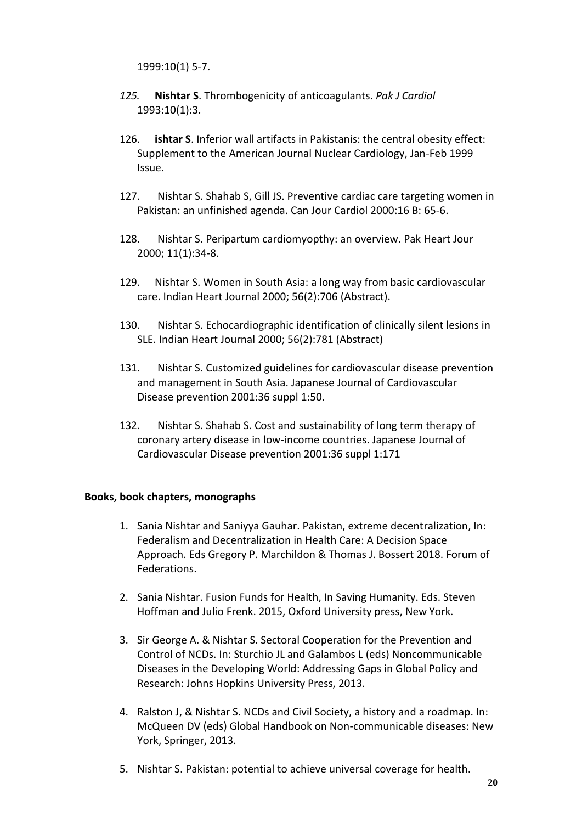1999:10(1) 5-7.

- *125.* **Nishtar S**. Thrombogenicity of anticoagulants. *Pak J Cardiol* 1993:10(1):3.
- 126. **ishtar S**. Inferior wall artifacts in Pakistanis: the central obesity effect: Supplement to the American Journal Nuclear Cardiology, Jan-Feb 1999 Issue.
- 127. Nishtar S. Shahab S, Gill JS. Preventive cardiac care targeting women in Pakistan: an unfinished agenda. Can Jour Cardiol 2000:16 B: 65-6.
- 128. Nishtar S. Peripartum cardiomyopthy: an overview. Pak Heart Jour 2000; 11(1):34-8.
- 129. Nishtar S. Women in South Asia: a long way from basic cardiovascular care. Indian Heart Journal 2000; 56(2):706 (Abstract).
- 130. Nishtar S. Echocardiographic identification of clinically silent lesions in SLE. Indian Heart Journal 2000; 56(2):781 (Abstract)
- 131. Nishtar S. Customized guidelines for cardiovascular disease prevention and management in South Asia. Japanese Journal of Cardiovascular Disease prevention 2001:36 suppl 1:50.
- 132. Nishtar S. Shahab S. Cost and sustainability of long term therapy of coronary artery disease in low-income countries. Japanese Journal of Cardiovascular Disease prevention 2001:36 suppl 1:171

#### <span id="page-19-0"></span>**Books, book chapters, monographs**

- 1. Sania Nishtar and Saniyya Gauhar. Pakistan, extreme decentralization, In: Federalism and Decentralization in Health Care: A Decision Space Approach. Eds Gregory P. Marchildon & Thomas J. Bossert 2018. Forum of Federations.
- 2. Sania Nishtar. Fusion Funds for Health, In Saving Humanity. Eds. Steven Hoffman and Julio Frenk. 2015, Oxford University press, New York.
- 3. Sir George A. & Nishtar S. Sectoral Cooperation for the Prevention and Control of NCDs. In: Sturchio JL and Galambos L (eds) Noncommunicable Diseases in the Developing World: Addressing Gaps in Global Policy and Research: Johns Hopkins University Press, 2013.
- 4. Ralston J, & Nishtar S. NCDs and Civil Society, a history and a roadmap. In: McQueen DV (eds) Global Handbook on Non-communicable diseases: New York, Springer, 2013.
- 5. Nishtar S. Pakistan: potential to achieve universal coverage for health.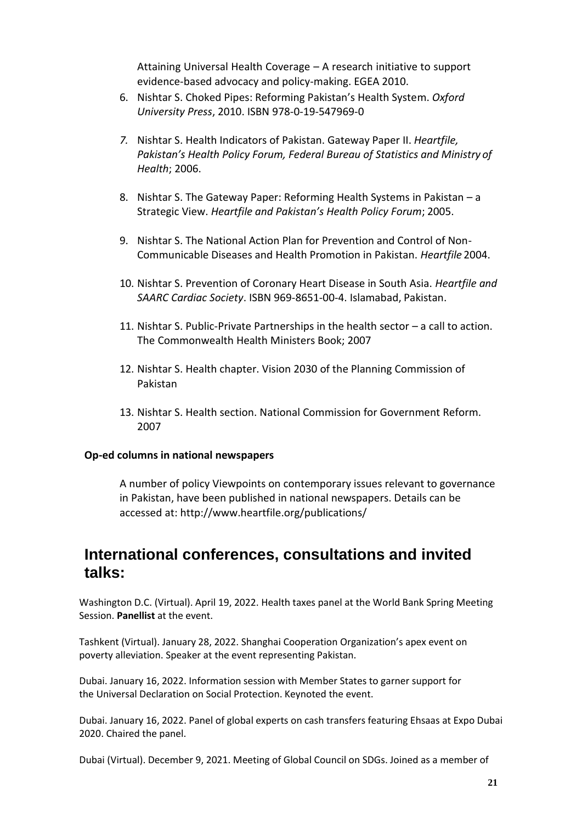Attaining Universal Health Coverage – A research initiative to support evidence-based advocacy and policy-making. EGEA 2010.

- 6. Nishtar S. Choked Pipes: Reforming Pakistan's Health System. *Oxford University Press*, 2010. ISBN 978-0-19-547969-0
- *7.* Nishtar S. Health Indicators of Pakistan. Gateway Paper II. *Heartfile, Pakistan's Health Policy Forum, Federal Bureau of Statistics and Ministry of Health*; 2006.
- 8. Nishtar S. The Gateway Paper: Reforming Health Systems in Pakistan a Strategic View. *Heartfile and Pakistan's Health Policy Forum*; 2005.
- 9. Nishtar S. The National Action Plan for Prevention and Control of Non-Communicable Diseases and Health Promotion in Pakistan. *Heartfile* 2004.
- 10. Nishtar S. Prevention of Coronary Heart Disease in South Asia. *Heartfile and SAARC Cardiac Society*. ISBN 969-8651-00-4. Islamabad, Pakistan.
- 11. Nishtar S. Public-Private Partnerships in the health sector a call to action. The Commonwealth Health Ministers Book; 2007
- 12. Nishtar S. Health chapter. Vision 2030 of the Planning Commission of Pakistan
- 13. Nishtar S. Health section. National Commission for Government Reform. 2007

#### <span id="page-20-0"></span>**Op-ed columns in national newspapers**

A number of policy Viewpoints on contemporary issues relevant to governance in Pakistan, have been published in national newspapers. Details can be accessed at:<http://www.heartfile.org/publications/>

## <span id="page-20-1"></span>**International conferences, consultations and invited talks:**

Washington D.C. (Virtual). April 19, 2022. Health taxes panel at the World Bank Spring Meeting Session. **Panellist** at the event.

Tashkent (Virtual). January 28, 2022. Shanghai Cooperation Organization's apex event on poverty alleviation. Speaker at the event representing Pakistan.

Dubai. January 16, 2022. Information session with Member States to garner support for the Universal Declaration on Social Protection. Keynoted the event.

Dubai. January 16, 2022. Panel of global experts on cash transfers featuring Ehsaas at Expo Dubai 2020. Chaired the panel.

Dubai (Virtual). December 9, 2021. Meeting of Global Council on SDGs. Joined as a member of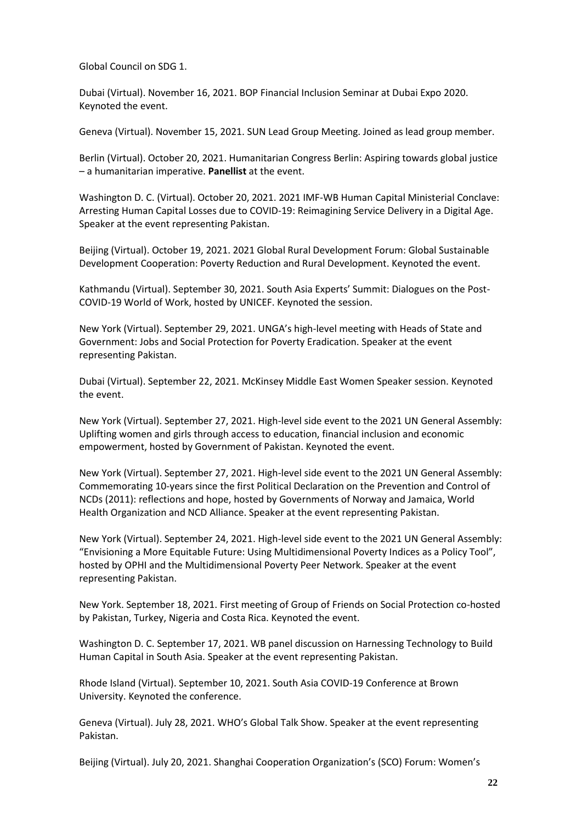Global Council on SDG 1.

Dubai (Virtual). November 16, 2021. BOP Financial Inclusion Seminar at Dubai Expo 2020. Keynoted the event.

Geneva (Virtual). November 15, 2021. SUN Lead Group Meeting. Joined as lead group member.

Berlin (Virtual). October 20, 2021. Humanitarian Congress Berlin: Aspiring towards global justice – a humanitarian imperative. **Panellist** at the event.

Washington D. C. (Virtual). October 20, 2021. 2021 IMF-WB Human Capital Ministerial Conclave: Arresting Human Capital Losses due to COVID-19: Reimagining Service Delivery in a Digital Age. Speaker at the event representing Pakistan.

Beijing (Virtual). October 19, 2021. 2021 Global Rural Development Forum: Global Sustainable Development Cooperation: Poverty Reduction and Rural Development. Keynoted the event.

Kathmandu (Virtual). September 30, 2021. South Asia Experts' Summit: Dialogues on the Post-COVID-19 World of Work, hosted by UNICEF. Keynoted the session.

New York (Virtual). September 29, 2021. UNGA's high-level meeting with Heads of State and Government: Jobs and Social Protection for Poverty Eradication. Speaker at the event representing Pakistan.

Dubai (Virtual). September 22, 2021. McKinsey Middle East Women Speaker session. Keynoted the event.

New York (Virtual). September 27, 2021. High-level side event to the 2021 UN General Assembly: Uplifting women and girls through access to education, financial inclusion and economic empowerment, hosted by Government of Pakistan. Keynoted the event.

New York (Virtual). September 27, 2021. High-level side event to the 2021 UN General Assembly: Commemorating 10-years since the first Political Declaration on the Prevention and Control of NCDs (2011): reflections and hope, hosted by Governments of Norway and Jamaica, World Health Organization and NCD Alliance. Speaker at the event representing Pakistan.

New York (Virtual). September 24, 2021. High-level side event to the 2021 UN General Assembly: "Envisioning a More Equitable Future: Using Multidimensional Poverty Indices as a Policy Tool", hosted by OPHI and the Multidimensional Poverty Peer Network. Speaker at the event representing Pakistan.

New York. September 18, 2021. First meeting of Group of Friends on Social Protection co-hosted by Pakistan, Turkey, Nigeria and Costa Rica. Keynoted the event.

Washington D. C. September 17, 2021. WB panel discussion on Harnessing Technology to Build Human Capital in South Asia. Speaker at the event representing Pakistan.

Rhode Island (Virtual). September 10, 2021. South Asia COVID-19 Conference at Brown University. Keynoted the conference.

Geneva (Virtual). July 28, 2021. WHO's Global Talk Show. Speaker at the event representing Pakistan.

Beijing (Virtual). July 20, 2021. Shanghai Cooperation Organization's (SCO) Forum: Women's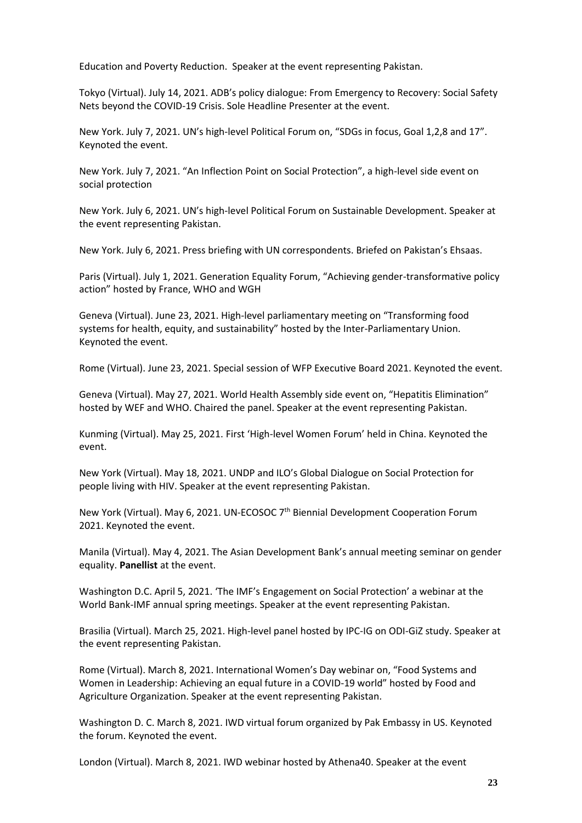Education and Poverty Reduction. Speaker at the event representing Pakistan.

Tokyo (Virtual). July 14, 2021. ADB's policy dialogue: From Emergency to Recovery: Social Safety Nets beyond the COVID-19 Crisis. Sole Headline Presenter at the event.

New York. July 7, 2021. UN's high-level Political Forum on, "SDGs in focus, Goal 1,2,8 and 17". Keynoted the event.

New York. July 7, 2021. "An Inflection Point on Social Protection", a high-level side event on social protection

New York. July 6, 2021. UN's high-level Political Forum on Sustainable Development. Speaker at the event representing Pakistan.

New York. July 6, 2021. Press briefing with UN correspondents. Briefed on Pakistan's Ehsaas.

Paris (Virtual). July 1, 2021. Generation Equality Forum, "Achieving gender-transformative policy action" hosted by France, WHO and WGH

Geneva (Virtual). June 23, 2021. High-level parliamentary meeting on "Transforming food systems for health, equity, and sustainability" hosted by the Inter-Parliamentary Union. Keynoted the event.

Rome (Virtual). June 23, 2021. Special session of WFP Executive Board 2021. Keynoted the event.

Geneva (Virtual). May 27, 2021. World Health Assembly side event on, "Hepatitis Elimination" hosted by WEF and WHO. Chaired the panel. Speaker at the event representing Pakistan.

Kunming (Virtual). May 25, 2021. First 'High-level Women Forum' held in China. Keynoted the event.

New York (Virtual). May 18, 2021. UNDP and ILO's Global Dialogue on Social Protection for people living with HIV. Speaker at the event representing Pakistan.

New York (Virtual). May 6, 2021. UN-ECOSOC 7<sup>th</sup> Biennial Development Cooperation Forum 2021. Keynoted the event.

Manila (Virtual). May 4, 2021. The Asian Development Bank's annual meeting seminar on gender equality. **Panellist** at the event.

Washington D.C. April 5, 2021. 'The IMF's Engagement on Social Protection' a webinar at the World Bank-IMF annual spring meetings. Speaker at the event representing Pakistan.

Brasilia (Virtual). March 25, 2021. High-level panel hosted by IPC-IG on ODI-GiZ study. Speaker at the event representing Pakistan.

Rome (Virtual). March 8, 2021. International Women's Day webinar on, "Food Systems and Women in Leadership: Achieving an equal future in a COVID-19 world" hosted by Food and Agriculture Organization. Speaker at the event representing Pakistan.

Washington D. C. March 8, 2021. IWD virtual forum organized by Pak Embassy in US. Keynoted the forum. Keynoted the event.

London (Virtual). March 8, 2021. IWD webinar hosted by Athena40. Speaker at the event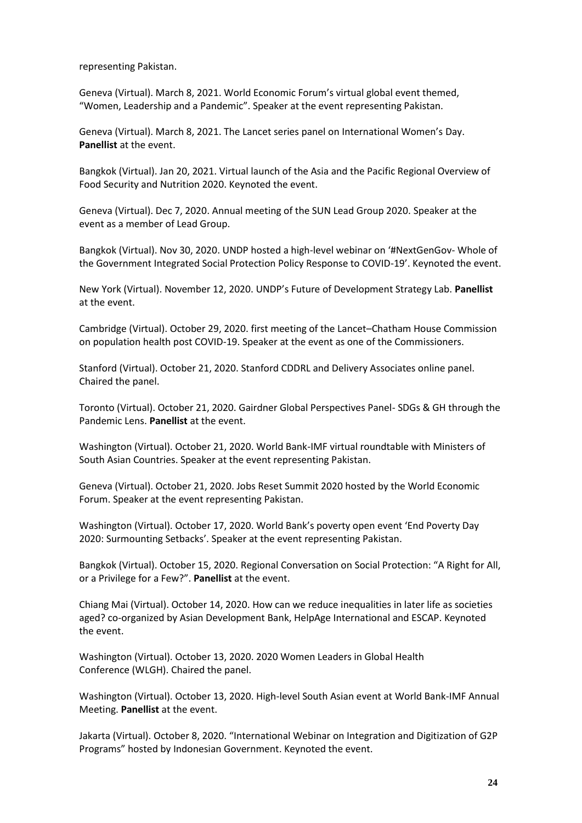representing Pakistan.

Geneva (Virtual). March 8, 2021. World Economic Forum's virtual global event themed, "Women, Leadership and a Pandemic". Speaker at the event representing Pakistan.

Geneva (Virtual). March 8, 2021. The Lancet series panel on International Women's Day. **Panellist** at the event.

Bangkok (Virtual). Jan 20, 2021. Virtual launch of the Asia and the Pacific Regional Overview of Food Security and Nutrition 2020. Keynoted the event.

Geneva (Virtual). Dec 7, 2020. Annual meeting of the SUN Lead Group 2020. Speaker at the event as a member of Lead Group.

Bangkok (Virtual). Nov 30, 2020. UNDP hosted a high-level webinar on '#NextGenGov- Whole of the Government Integrated Social Protection Policy Response to COVID-19'. Keynoted the event.

New York (Virtual). November 12, 2020. UNDP's Future of Development Strategy Lab. **Panellist** at the event.

Cambridge (Virtual). October 29, 2020. first meeting of the Lancet–Chatham House Commission on population health post COVID-19. Speaker at the event as one of the Commissioners.

Stanford (Virtual). October 21, 2020. Stanford CDDRL and Delivery Associates online panel. Chaired the panel.

Toronto (Virtual). October 21, 2020. Gairdner Global Perspectives Panel- SDGs & GH through the Pandemic Lens. **Panellist** at the event.

Washington (Virtual). October 21, 2020. World Bank-IMF virtual roundtable with Ministers of South Asian Countries. Speaker at the event representing Pakistan.

Geneva (Virtual). October 21, 2020. Jobs Reset Summit 2020 hosted by the World Economic Forum. Speaker at the event representing Pakistan.

Washington (Virtual). October 17, 2020. World Bank's poverty open event 'End Poverty Day 2020: Surmounting Setbacks'. Speaker at the event representing Pakistan.

Bangkok (Virtual). October 15, 2020. Regional Conversation on Social Protection: "A Right for All, or a Privilege for a Few?". **Panellist** at the event.

Chiang Mai (Virtual). October 14, 2020. How can we reduce inequalities in later life as societies aged? co-organized by Asian Development Bank, HelpAge International and ESCAP. Keynoted the event.

Washington (Virtual). October 13, 2020. 2020 Women Leaders in Global Health Conference (WLGH). Chaired the panel.

Washington (Virtual). October 13, 2020. High-level South Asian event at World Bank-IMF Annual Meeting. **Panellist** at the event.

Jakarta (Virtual). October 8, 2020. "International Webinar on Integration and Digitization of G2P Programs" hosted by Indonesian Government. Keynoted the event.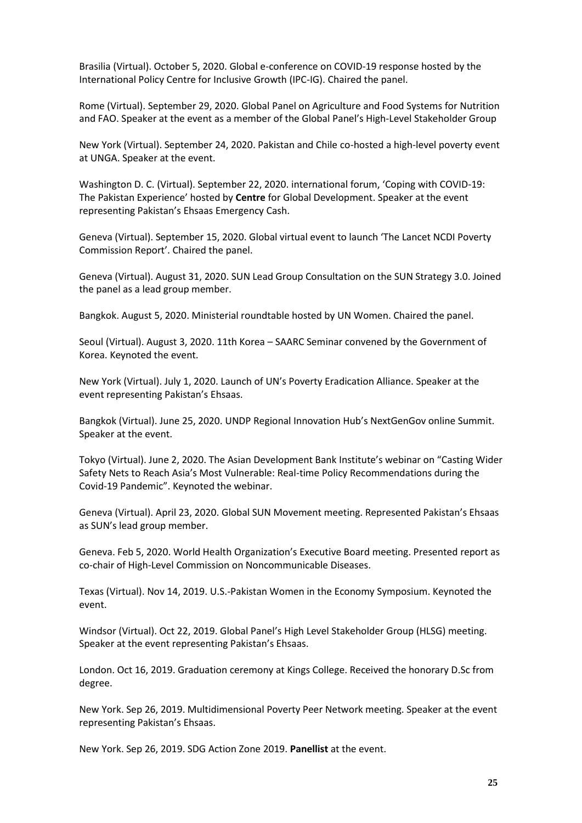Brasilia (Virtual). October 5, 2020. Global e-conference on COVID-19 response hosted by the International Policy Centre for Inclusive Growth (IPC-IG). Chaired the panel.

Rome (Virtual). September 29, 2020. Global Panel on Agriculture and Food Systems for Nutrition and FAO. Speaker at the event as a member of the Global Panel's High-Level Stakeholder Group

New York (Virtual). September 24, 2020. Pakistan and Chile co-hosted a high-level poverty event at UNGA. Speaker at the event.

Washington D. C. (Virtual). September 22, 2020. international forum, 'Coping with COVID-19: The Pakistan Experience' hosted by **Centre** for Global Development. Speaker at the event representing Pakistan's Ehsaas Emergency Cash.

Geneva (Virtual). September 15, 2020. Global virtual event to launch 'The Lancet NCDI Poverty Commission Report'. Chaired the panel.

Geneva (Virtual). August 31, 2020. SUN Lead Group Consultation on the SUN Strategy 3.0. Joined the panel as a lead group member.

Bangkok. August 5, 2020. Ministerial roundtable hosted by UN Women. Chaired the panel.

Seoul (Virtual). August 3, 2020. 11th Korea – SAARC Seminar convened by the Government of Korea. Keynoted the event.

New York (Virtual). July 1, 2020. Launch of UN's Poverty Eradication Alliance. Speaker at the event representing Pakistan's Ehsaas.

Bangkok (Virtual). June 25, 2020. UNDP Regional Innovation Hub's NextGenGov online Summit. Speaker at the event.

Tokyo (Virtual). June 2, 2020. The Asian Development Bank Institute's webinar on "Casting Wider Safety Nets to Reach Asia's Most Vulnerable: Real-time Policy Recommendations during the Covid-19 Pandemic". Keynoted the webinar.

Geneva (Virtual). April 23, 2020. Global SUN Movement meeting. Represented Pakistan's Ehsaas as SUN's lead group member.

Geneva. Feb 5, 2020. World Health Organization's Executive Board meeting. Presented report as co-chair of High-Level Commission on Noncommunicable Diseases.

Texas (Virtual). Nov 14, 2019. U.S.-Pakistan Women in the Economy Symposium. Keynoted the event.

Windsor (Virtual). Oct 22, 2019. Global Panel's High Level Stakeholder Group (HLSG) meeting. Speaker at the event representing Pakistan's Ehsaas.

London. Oct 16, 2019. Graduation ceremony at Kings College. Received the honorary D.Sc from degree.

New York. Sep 26, 2019. Multidimensional Poverty Peer Network meeting. Speaker at the event representing Pakistan's Ehsaas.

New York. Sep 26, 2019. SDG Action Zone 2019. **Panellist** at the event.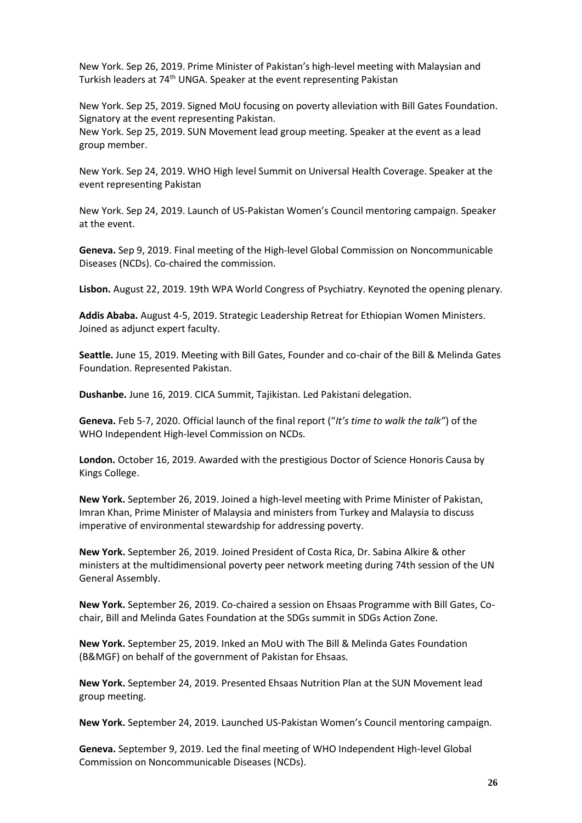New York. Sep 26, 2019. Prime Minister of Pakistan's high-level meeting with Malaysian and Turkish leaders at 74<sup>th</sup> UNGA. Speaker at the event representing Pakistan

New York. Sep 25, 2019. Signed MoU focusing on poverty alleviation with Bill Gates Foundation. Signatory at the event representing Pakistan. New York. Sep 25, 2019. SUN Movement lead group meeting. Speaker at the event as a lead group member.

New York. Sep 24, 2019. WHO High level Summit on Universal Health Coverage. Speaker at the event representing Pakistan

New York. Sep 24, 2019. Launch of US-Pakistan Women's Council mentoring campaign. Speaker at the event.

**Geneva.** Sep 9, 2019. Final meeting of the High-level Global Commission on Noncommunicable Diseases (NCDs). Co-chaired the commission.

**Lisbon.** August 22, 2019. 19th WPA World Congress of Psychiatry. Keynoted the opening plenary.

**Addis Ababa.** August 4-5, 2019. Strategic Leadership Retreat for Ethiopian Women Ministers. Joined as adjunct expert faculty.

**Seattle.** June 15, 2019. Meeting with Bill Gates, Founder and co-chair of the Bill & Melinda Gates Foundation. Represented Pakistan.

**Dushanbe.** June 16, 2019. CICA Summit, Tajikistan. Led Pakistani delegation.

**Geneva.** Feb 5-7, 2020. Official launch of the final report ("*It's time to walk the talk"*) of the WHO Independent High-level Commission on NCDs.

**London.** October 16, 2019. Awarded with the prestigious Doctor of Science Honoris Causa by Kings College.

**New York.** September 26, 2019. Joined a high-level meeting with Prime Minister of Pakistan, Imran Khan, Prime Minister of Malaysia and ministers from Turkey and Malaysia to discuss imperative of environmental stewardship for addressing poverty.

**New York.** September 26, 2019. Joined President of Costa Rica, Dr. Sabina Alkire & other ministers at the multidimensional poverty peer network meeting during 74th session of the UN General Assembly.

**New York.** September 26, 2019. Co-chaired a session on Ehsaas Programme with Bill Gates, Cochair, Bill and Melinda Gates Foundation at the SDGs summit in SDGs Action Zone.

**New York.** September 25, 2019. Inked an MoU with The Bill & Melinda Gates Foundation (B&MGF) on behalf of the government of Pakistan for Ehsaas.

**New York.** September 24, 2019. Presented Ehsaas Nutrition Plan at the SUN Movement lead group meeting.

**New York.** September 24, 2019. Launched US-Pakistan Women's Council mentoring campaign.

**Geneva.** September 9, 2019. Led the final meeting of WHO Independent High-level Global Commission on Noncommunicable Diseases (NCDs).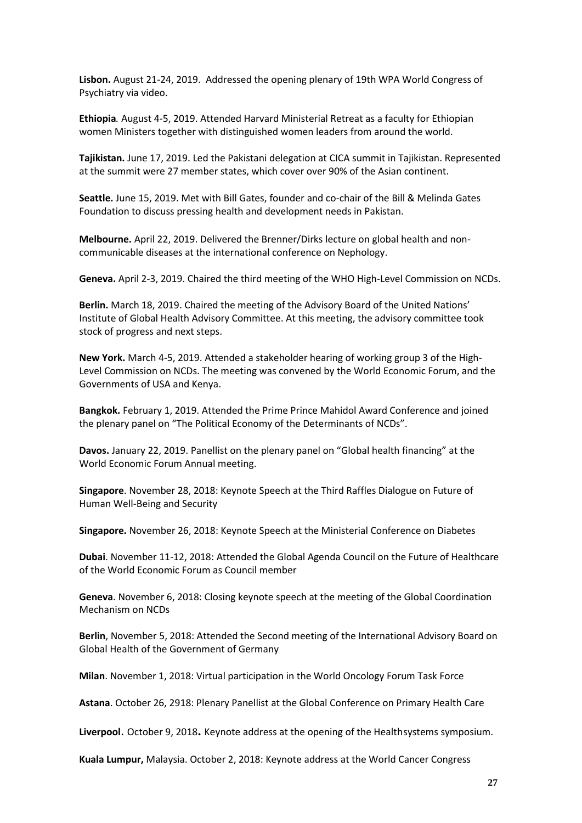**Lisbon.** August 21-24, 2019. Addressed the opening plenary of 19th WPA World Congress of Psychiatry via video.

**Ethiopia***.* August 4-5, 2019. Attended Harvard Ministerial Retreat as a faculty for Ethiopian women Ministers together with distinguished women leaders from around the world.

**Tajikistan.** June 17, 2019. Led the Pakistani delegation at CICA summit in Tajikistan. Represented at the summit were 27 member states, which cover over 90% of the Asian continent.

**Seattle.** June 15, 2019. Met with Bill Gates, founder and co-chair of the Bill & Melinda Gates Foundation to discuss pressing health and development needs in Pakistan.

**Melbourne.** April 22, 2019. Delivered the Brenner/Dirks lecture on global health and noncommunicable diseases at the international conference on Nephology.

**Geneva.** April 2-3, 2019. Chaired the third meeting of the WHO High-Level Commission on NCDs.

**Berlin.** March 18, 2019. Chaired the meeting of the Advisory Board of the United Nations' Institute of Global Health Advisory Committee. At this meeting, the advisory committee took stock of progress and next steps.

**New York.** March 4-5, 2019. Attended a stakeholder hearing of working group 3 of the High-Level Commission on NCDs. The meeting was convened by the World Economic Forum, and the Governments of USA and Kenya.

**Bangkok.** February 1, 2019. Attended the Prime Prince Mahidol Award Conference and joined the plenary panel on "The Political Economy of the Determinants of NCDs".

**Davos.** January 22, 2019. Panellist on the plenary panel on "Global health financing" at the World Economic Forum Annual meeting.

**Singapore**. November 28, 2018: Keynote Speech at the Third Raffles Dialogue on Future of Human Well-Being and Security

**Singapore.** November 26, 2018: Keynote Speech at the Ministerial Conference on Diabetes

**Dubai**. November 11-12, 2018: Attended the Global Agenda Council on the Future of Healthcare of the World Economic Forum as Council member

**Geneva**. November 6, 2018: Closing keynote speech at the meeting of the Global Coordination Mechanism on NCDs

**Berlin**, November 5, 2018: Attended the Second meeting of the International Advisory Board on Global Health of the Government of Germany

**Milan**. November 1, 2018: Virtual participation in the World Oncology Forum Task Force

**Astana**. October 26, 2918: Plenary Panellist at the Global Conference on Primary Health Care

**Liverpool**. October 9, 2018**.** Keynote address at the opening of the Healthsystems symposium.

**Kuala Lumpur,** Malaysia. October 2, 2018: Keynote address at the World Cancer Congress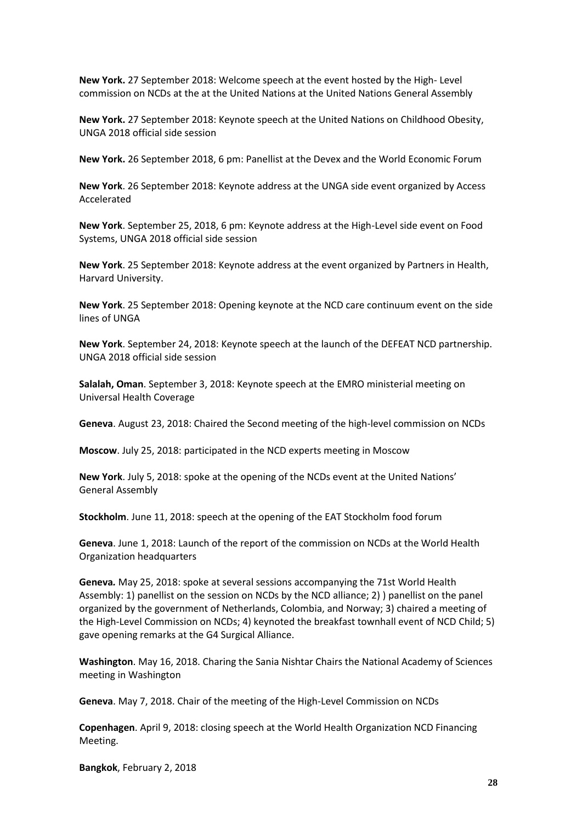**New York.** 27 September 2018: Welcome speech at the event hosted by the High- Level commission on NCDs at the at the United Nations at the United Nations General Assembly

**New York.** 27 September 2018: Keynote speech at the United Nations on Childhood Obesity, UNGA 2018 official side session

**New York.** 26 September 2018, 6 pm: Panellist at the Devex and the World Economic Forum

**New York**. 26 September 2018: Keynote address at the UNGA side event organized by Access Accelerated

**New York**. September 25, 2018, 6 pm: Keynote address at the High-Level side event on Food Systems, UNGA 2018 official side session

**New York**. 25 September 2018: Keynote address at the event organized by Partners in Health, Harvard University.

**New York**. 25 September 2018: Opening keynote at the NCD care continuum event on the side lines of UNGA

**New York**. September 24, 2018: Keynote speech at the launch of the DEFEAT NCD partnership. UNGA 2018 official side session

**Salalah, Oman**. September 3, 2018: Keynote speech at the EMRO ministerial meeting on Universal Health Coverage

**Geneva**. August 23, 2018: Chaired the Second meeting of the high-level commission on NCDs

**Moscow**. July 25, 2018: participated in the NCD experts meeting in Moscow

**New York**. July 5, 2018: spoke at the opening of the NCDs event at the United Nations' General Assembly

**Stockholm**. June 11, 2018: speech at the opening of the EAT Stockholm food forum

**Geneva**. June 1, 2018: Launch of the report of the commission on NCDs at the World Health Organization headquarters

**Geneva***.* May 25, 2018: spoke at several sessions accompanying the 71st World Health Assembly: 1) panellist on the session on NCDs by the NCD alliance; 2) ) panellist on the panel organized by the government of Netherlands, Colombia, and Norway; 3) chaired a meeting of the High-Level Commission on NCDs; 4) keynoted the breakfast townhall event of NCD Child; 5) gave opening remarks at the G4 Surgical Alliance.

**Washington**. May 16, 2018. Charing the Sania Nishtar Chairs the National Academy of Sciences meeting in Washington

**Geneva**. May 7, 2018. Chair of the meeting of the High-Level Commission on NCDs

**Copenhagen**. April 9, 2018: closing speech at the World Health Organization NCD Financing Meeting.

**Bangkok**, February 2, 2018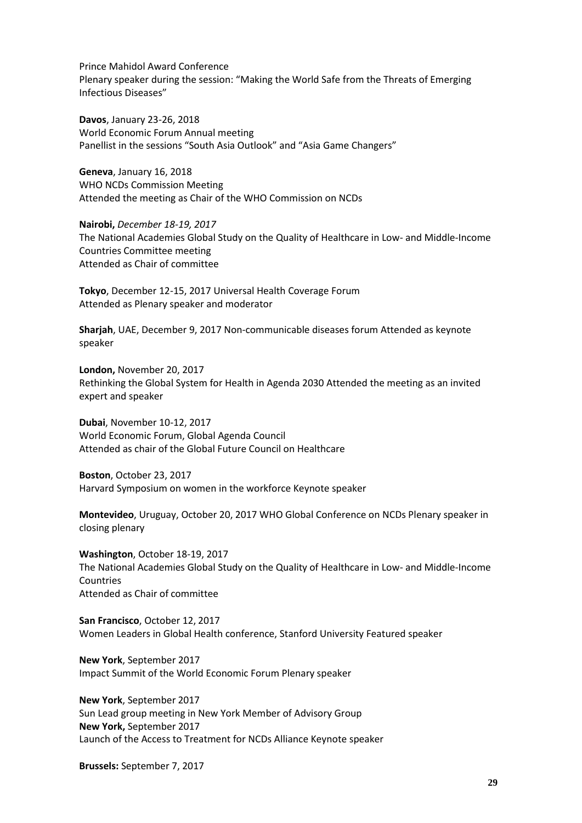Prince Mahidol Award Conference Plenary speaker during the session: "Making the World Safe from the Threats of Emerging Infectious Diseases"

**Davos**, January 23-26, 2018 World Economic Forum Annual meeting Panellist in the sessions "South Asia Outlook" and "Asia Game Changers"

**Geneva**, January 16, 2018 WHO NCDs Commission Meeting Attended the meeting as Chair of the WHO Commission on NCDs

**Nairobi,** *December 18-19, 2017* The National Academies Global Study on the Quality of Healthcare in Low- and Middle-Income Countries Committee meeting Attended as Chair of committee

**Tokyo**, December 12-15, 2017 Universal Health Coverage Forum Attended as Plenary speaker and moderator

**Sharjah**, UAE, December 9, 2017 Non-communicable diseases forum Attended as keynote speaker

**London,** November 20, 2017 Rethinking the Global System for Health in Agenda 2030 Attended the meeting as an invited expert and speaker

**Dubai**, November 10-12, 2017 World Economic Forum, Global Agenda Council Attended as chair of the Global Future Council on Healthcare

**Boston**, October 23, 2017 Harvard Symposium on women in the workforce Keynote speaker

**Montevideo**, Uruguay, October 20, 2017 WHO Global Conference on NCDs Plenary speaker in closing plenary

**Washington**, October 18-19, 2017 The National Academies Global Study on the Quality of Healthcare in Low- and Middle-Income Countries Attended as Chair of committee

**San Francisco**, October 12, 2017 Women Leaders in Global Health conference, Stanford University Featured speaker

**New York**, September 2017 Impact Summit of the World Economic Forum Plenary speaker

**New York**, September 2017 Sun Lead group meeting in New York Member of Advisory Group **New York,** September 2017 Launch of the Access to Treatment for NCDs Alliance Keynote speaker

**Brussels:** September 7, 2017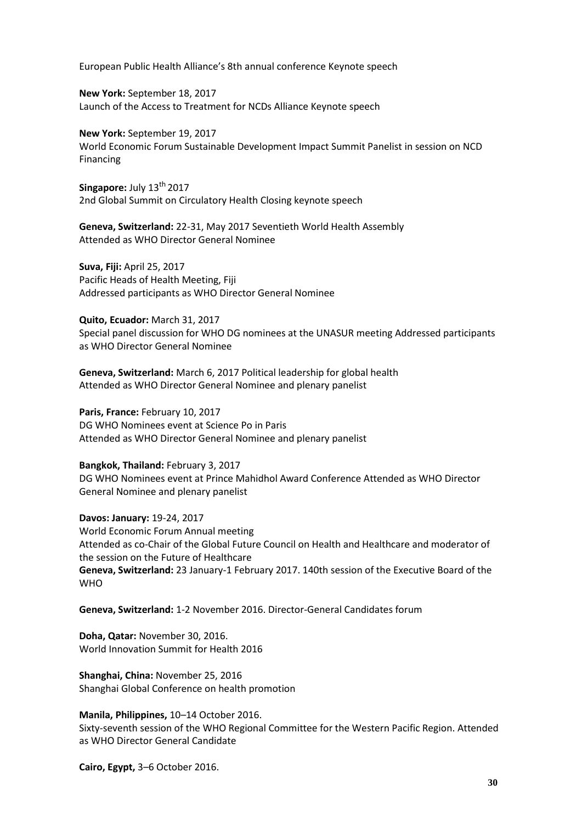European Public Health Alliance's 8th annual conference Keynote speech

**New York:** September 18, 2017 Launch of the Access to Treatment for NCDs Alliance Keynote speech

**New York:** September 19, 2017 World Economic Forum Sustainable Development Impact Summit Panelist in session on NCD Financing

Singapore: July 13<sup>th</sup> 2017 2nd Global Summit on Circulatory Health Closing keynote speech

**Geneva, Switzerland:** 22-31, May 2017 [Seventieth World Health Assembly](http://www.who.int/entity/mediacentre/events/2017/wha70/en/index.html) Attended as WHO Director General Nominee

**Suva, Fiji:** April 25, 2017 Pacific Heads of Health Meeting, Fiji Addressed participants as WHO Director General Nominee

**Quito, Ecuador:** March 31, 2017 Special panel discussion for WHO DG nominees at the UNASUR meeting Addressed participants as WHO Director General Nominee

**Geneva, Switzerland:** March 6, 2017 Political leadership for global health Attended as WHO Director General Nominee and plenary panelist

**Paris, France:** February 10, 2017 DG WHO Nominees event at Science Po in Paris Attended as WHO Director General Nominee and plenary panelist

**Bangkok, Thailand:** February 3, 2017 DG WHO Nominees event at Prince Mahidhol Award Conference Attended as WHO Director General Nominee and plenary panelist

**Davos: January:** 19-24, 2017 World Economic Forum Annual meeting Attended as co-Chair of the Global Future Council on Health and Healthcare and moderator of the session on the Future of Healthcare **Geneva, Switzerland:** 23 January-1 February 2017. 140th session of the Executive Board of the WHO

**Geneva, Switzerland:** 1-2 November 2016. Director-General Candidates forum

**Doha, Qatar:** November 30, 2016. World Innovation Summit for Health 2016

**Shanghai, China:** November 25, 2016 Shanghai Global Conference on health promotion

**Manila, Philippines,** 10–14 October 2016. Sixty-seventh session of the WHO Regional Committee for the Western Pacific Region. Attended as WHO Director General Candidate

**Cairo, Egypt,** 3–6 October 2016.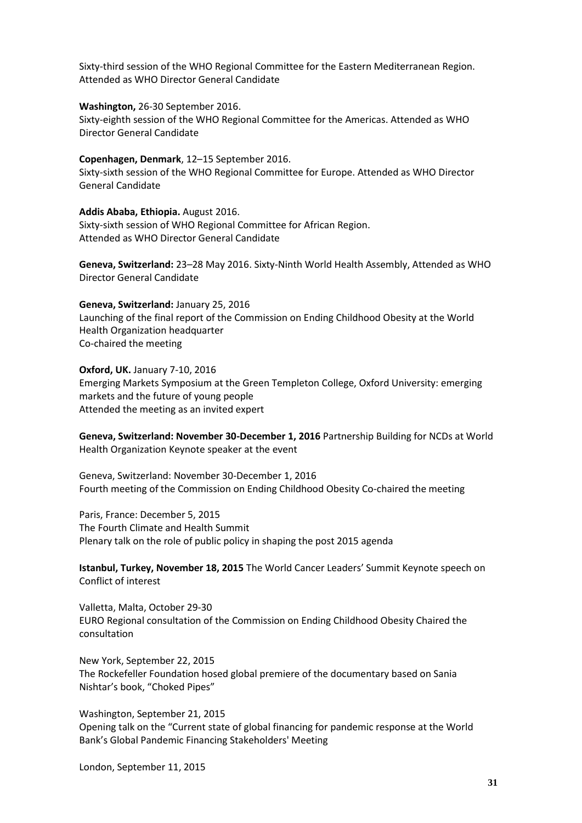Sixty-third session of the WHO Regional Committee for the Eastern Mediterranean Region. Attended as WHO Director General Candidate

**Washington,** 26-30 September 2016.

Sixty-eighth session of the WHO Regional Committee for the Americas. Attended as WHO Director General Candidate

#### **Copenhagen, Denmark**, 12–15 September 2016.

Sixty-sixth session of the WHO Regional Committee for Europe. Attended as WHO Director General Candidate

**Addis Ababa, Ethiopia.** August 2016. Sixty-sixth session of WHO Regional Committee for African Region. Attended as WHO Director General Candidate

**Geneva, Switzerland:** 23–28 May 2016. [Sixty-Ninth World Health Assembly,](http://www.who.int/entity/mediacentre/events/2016/wha69/en/index.html) Attended as WHO Director General Candidate

**Geneva, Switzerland:** January 25, 2016 Launching of the final report of the Commission on Ending Childhood Obesity at the World Health Organization headquarter Co-chaired the meeting

**Oxford, UK.** January 7-10, 2016 Emerging Markets Symposium at the Green Templeton College, Oxford University: emerging markets and the future of young people Attended the meeting as an invited expert

**Geneva, Switzerland: November 30-December 1, 2016** Partnership Building for NCDs at World Health Organization Keynote speaker at the event

Geneva, Switzerland: November 30-December 1, 2016 Fourth meeting of the Commission on Ending Childhood Obesity Co-chaired the meeting

Paris, France: December 5, 2015 The Fourth Climate and Health Summit Plenary talk on the role of public policy in shaping the post 2015 agenda

**Istanbul, Turkey, November 18, 2015** The World Cancer Leaders' Summit Keynote speech on Conflict of interest

Valletta, Malta, October 29-30 EURO Regional consultation of the Commission on Ending Childhood Obesity Chaired the consultation

New York, September 22, 2015 The Rockefeller Foundation hosed global premiere of the documentary based on Sania Nishtar's book, "Choked Pipes"

Washington, September 21, 2015

Opening talk on the "Current state of global financing for pandemic response at the World Bank's Global Pandemic Financing Stakeholders' Meeting

London, September 11, 2015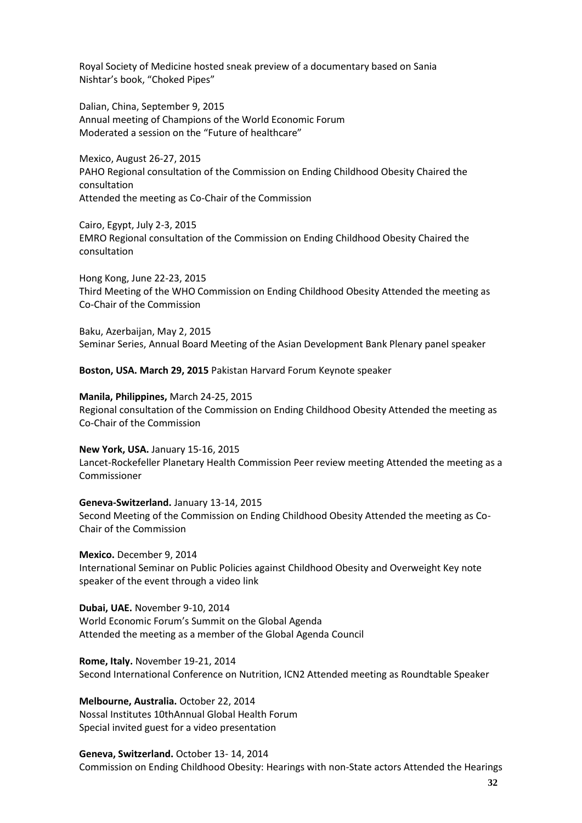Royal Society of Medicine hosted sneak preview of a documentary based on Sania Nishtar's book, "Choked Pipes"

Dalian, China, September 9, 2015 Annual meeting of Champions of the World Economic Forum Moderated a session on the "Future of healthcare"

Mexico, August 26-27, 2015 PAHO Regional consultation of the Commission on Ending Childhood Obesity Chaired the consultation Attended the meeting as Co-Chair of the Commission

Cairo, Egypt, July 2-3, 2015 EMRO Regional consultation of the Commission on Ending Childhood Obesity Chaired the consultation

Hong Kong, June 22-23, 2015 Third Meeting of the WHO Commission on Ending Childhood Obesity Attended the meeting as Co-Chair of the Commission

Baku, Azerbaijan, May 2, 2015 Seminar Series, Annual Board Meeting of the Asian Development Bank Plenary panel speaker

**Boston, USA. March 29, 2015** Pakistan Harvard Forum Keynote speaker

**Manila, Philippines,** March 24-25, 2015

Regional consultation of the Commission on Ending Childhood Obesity Attended the meeting as Co-Chair of the Commission

**New York, USA.** January 15-16, 2015 Lancet-Rockefeller Planetary Health Commission Peer review meeting Attended the meeting as a Commissioner

**Geneva-Switzerland.** January 13-14, 2015 Second Meeting of the Commission on Ending Childhood Obesity Attended the meeting as Co-Chair of the Commission

**Mexico.** December 9, 2014 International Seminar on Public Policies against Childhood Obesity and Overweight Key note speaker of the event through a video link

**Dubai, UAE.** November 9-10, 2014 World Economic Forum's Summit on the Global Agenda Attended the meeting as a member of the Global Agenda Council

**Rome, Italy.** November 19-21, 2014 Second International Conference on Nutrition, ICN2 Attended meeting as Roundtable Speaker

**Melbourne, Australia.** October 22, 2014 Nossal Institutes 10thAnnual Global Health Forum Special invited guest for a video presentation

**Geneva, Switzerland.** October 13- 14, 2014 Commission on Ending Childhood Obesity: Hearings with non-State actors Attended the Hearings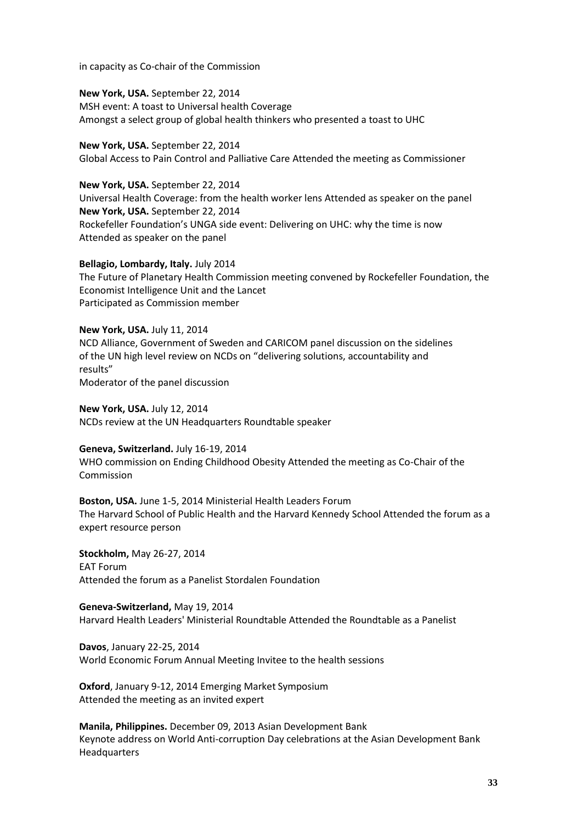in capacity as Co-chair of the Commission

**New York, USA.** September 22, 2014 MSH event: A toast to Universal health Coverage Amongst a select group of global health thinkers who presented a toast to UHC

**New York, USA.** September 22, 2014 Global Access to Pain Control and Palliative Care Attended the meeting as Commissioner

**New York, USA.** September 22, 2014 Universal Health Coverage: from the health worker lens Attended as speaker on the panel **New York, USA.** September 22, 2014 Rockefeller Foundation's UNGA side event: Delivering on UHC: why the time is now Attended as speaker on the panel

**Bellagio, Lombardy, Italy.** July 2014 The Future of Planetary Health Commission meeting convened by Rockefeller Foundation, the Economist Intelligence Unit and the Lancet Participated as Commission member

**New York, USA.** July 11, 2014 NCD Alliance, Government of Sweden and CARICOM panel discussion on the sidelines of the UN high level review on NCDs on "delivering solutions, accountability and results" Moderator of the panel discussion

**New York, USA.** July 12, 2014 NCDs review at the UN Headquarters Roundtable speaker

**Geneva, Switzerland.** July 16-19, 2014 WHO commission on Ending Childhood Obesity Attended the meeting as Co-Chair of the Commission

**Boston, USA.** June 1-5, 2014 Ministerial Health Leaders Forum The Harvard School of Public Health and the Harvard Kennedy School Attended the forum as a expert resource person

**Stockholm,** May 26-27, 2014 EAT Forum Attended the forum as a Panelist Stordalen Foundation

**Geneva-Switzerland,** May 19, 2014 Harvard Health Leaders' Ministerial Roundtable Attended the Roundtable as a Panelist

**Davos**, January 22-25, 2014 World Economic Forum Annual Meeting Invitee to the health sessions

**Oxford**, January 9-12, 2014 Emerging Market Symposium Attended the meeting as an invited expert

**Manila, Philippines.** December 09, 2013 Asian Development Bank Keynote address on World Anti-corruption Day celebrations at the Asian Development Bank Headquarters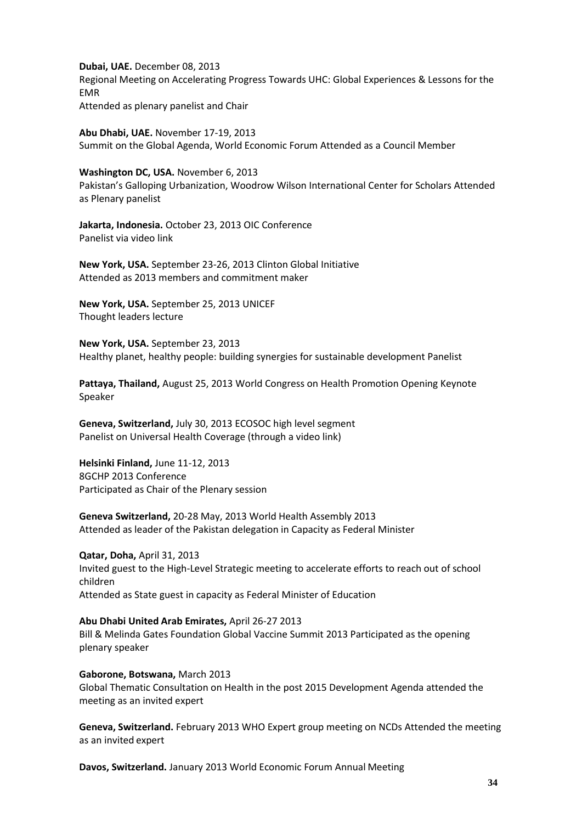**Dubai, UAE.** December 08, 2013 Regional Meeting on Accelerating Progress Towards UHC: Global Experiences & Lessons for the EMR Attended as plenary panelist and Chair

**Abu Dhabi, UAE.** November 17-19, 2013 Summit on the Global Agenda, World Economic Forum Attended as a Council Member

**Washington DC, USA.** November 6, 2013 Pakistan's Galloping Urbanization, Woodrow Wilson International Center for Scholars Attended as Plenary panelist

**Jakarta, Indonesia.** October 23, 2013 OIC Conference Panelist via video link

**New York, USA.** September 23-26, 2013 Clinton Global Initiative Attended as 2013 members and commitment maker

**New York, USA.** September 25, 2013 UNICEF Thought leaders lecture

**New York, USA.** September 23, 2013 Healthy planet, healthy people: building synergies for sustainable development Panelist

**Pattaya, Thailand,** August 25, 2013 World Congress on Health Promotion Opening Keynote Speaker

**Geneva, Switzerland,** July 30, 2013 ECOSOC high level segment Panelist on Universal Health Coverage (through a video link)

**Helsinki Finland,** June 11-12, 2013 8GCHP 2013 Conference Participated as Chair of the Plenary session

**Geneva Switzerland,** 20-28 May, 2013 World Health Assembly 2013 Attended as leader of the Pakistan delegation in Capacity as Federal Minister

**Qatar, Doha,** April 31, 2013 Invited guest to the High-Level Strategic meeting to accelerate efforts to reach out of school children Attended as State guest in capacity as Federal Minister of Education

**Abu Dhabi United Arab Emirates,** April 26-27 2013 Bill & Melinda Gates Foundation Global Vaccine Summit 2013 Participated as the opening plenary speaker

**Gaborone, Botswana,** March 2013 Global Thematic Consultation on Health in the post 2015 Development Agenda attended the meeting as an invited expert

**Geneva, Switzerland.** February 2013 WHO Expert group meeting on NCDs Attended the meeting as an invited expert

**Davos, Switzerland.** January 2013 World Economic Forum Annual Meeting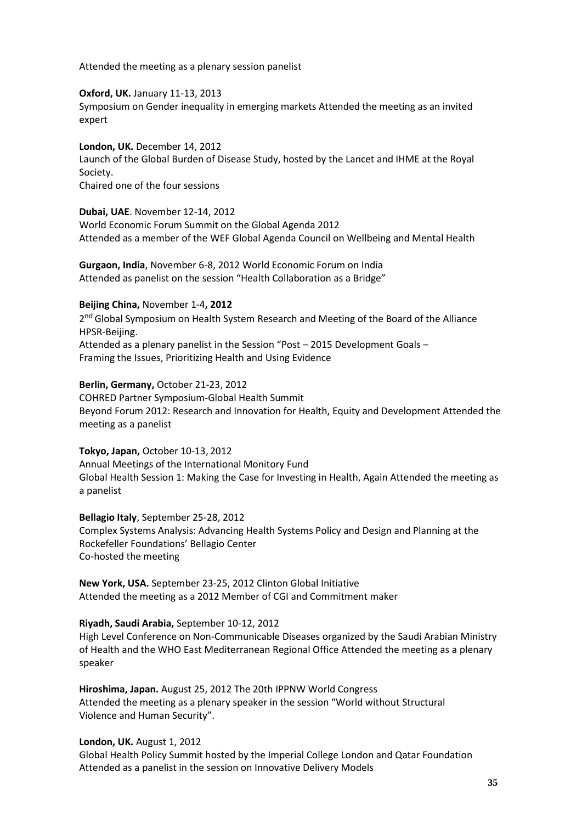Attended the meeting as a plenary session panelist

**Oxford, UK.** January 11-13, 2013

Symposium on Gender inequality in emerging markets Attended the meeting as an invited expert

**London, UK.** December 14, 2012 Launch of the Global Burden of Disease Study, hosted by the Lancet and IHME at the Royal Society. Chaired one of the four sessions

**Dubai, UAE**. November 12-14, 2012

World Economic Forum Summit on the Global Agenda 2012 Attended as a member of the WEF Global Agenda Council on Wellbeing and Mental Health

**Gurgaon, India**, November 6-8, 2012 World Economic Forum on India Attended as panelist on the session "Health Collaboration as a Bridge"

#### **Beijing China,** November 1-4**, 2012**

2<sup>nd</sup> Global Symposium on Health System Research and Meeting of the Board of the Alliance HPSR-Beijing. Attended as a plenary panelist in the Session "Post – 2015 Development Goals –

Framing the Issues, Prioritizing Health and Using Evidence

**Berlin, Germany,** October 21-23, 2012

COHRED Partner Symposium-Global Health Summit Beyond Forum 2012: Research and Innovation for Health, Equity and Development Attended the meeting as a panelist

#### **Tokyo, Japan,** October 10-13, 2012

Annual Meetings of the International Monitory Fund Global Health Session 1: Making the Case for Investing in Health, Again Attended the meeting as a panelist

**Bellagio Italy**, September 25-28, 2012 Complex Systems Analysis: Advancing Health Systems Policy and Design and Planning at the Rockefeller Foundations' Bellagio Center Co-hosted the meeting

**New York, USA.** September 23-25, 2012 Clinton Global Initiative Attended the meeting as a 2012 Member of CGI and Commitment maker

#### **Riyadh, Saudi Arabia,** September 10-12, 2012

High Level Conference on Non-Communicable Diseases organized by the Saudi Arabian Ministry of Health and the WHO East Mediterranean Regional Office Attended the meeting as a plenary speaker

**Hiroshima, Japan.** August 25, 2012 The 20th IPPNW World Congress Attended the meeting as a plenary speaker in the session "World without Structural Violence and Human Security".

#### **London, UK.** August 1, 2012

Global Health Policy Summit hosted by the Imperial College London and Qatar Foundation Attended as a panelist in the session on Innovative Delivery Models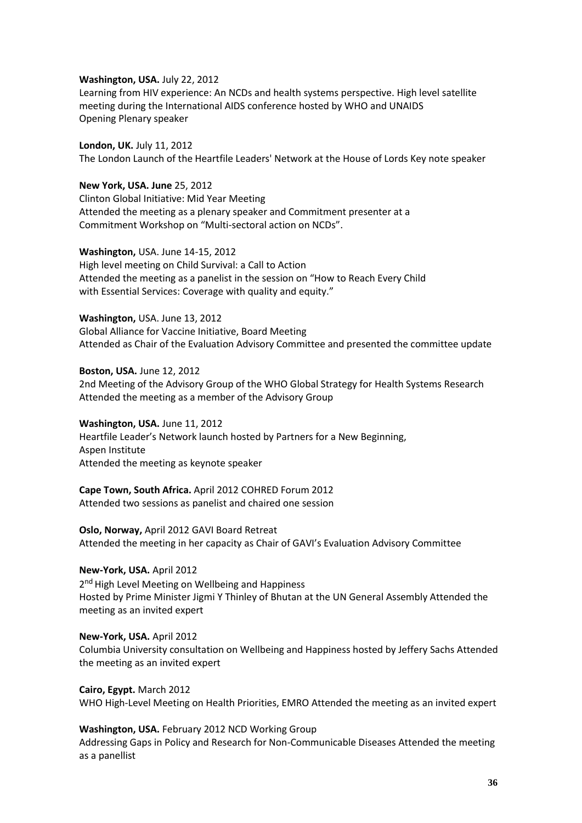#### **Washington, USA.** July 22, 2012

Learning from HIV experience: An NCDs and health systems perspective. High level satellite meeting during the International AIDS conference hosted by WHO and UNAIDS Opening Plenary speaker

**London, UK.** July 11, 2012 The London Launch of the Heartfile Leaders' Network at the House of Lords Key note speaker

**New York, USA. June** 25, 2012 Clinton Global Initiative: Mid Year Meeting Attended the meeting as a plenary speaker and Commitment presenter at a Commitment Workshop on "Multi-sectoral action on NCDs".

**Washington,** USA. June 14-15, 2012 High level meeting on Child Survival: a Call to Action Attended the meeting as a panelist in the session on "How to Reach Every Child with Essential Services: Coverage with quality and equity."

**Washington,** USA. June 13, 2012 Global Alliance for Vaccine Initiative, Board Meeting Attended as Chair of the Evaluation Advisory Committee and presented the committee update

**Boston, USA.** June 12, 2012 2nd Meeting of the Advisory Group of the WHO Global Strategy for Health Systems Research Attended the meeting as a member of the Advisory Group

**Washington, USA.** June 11, 2012 Heartfile Leader's Network launch hosted by Partners for a New Beginning, Aspen Institute Attended the meeting as keynote speaker

**Cape Town, South Africa.** April 2012 COHRED Forum 2012

Attended two sessions as panelist and chaired one session

**Oslo, Norway,** April 2012 GAVI Board Retreat Attended the meeting in her capacity as Chair of GAVI's Evaluation Advisory Committee

**New-York, USA.** April 2012 2<sup>nd</sup> High Level Meeting on Wellbeing and Happiness Hosted by Prime Minister Jigmi Y Thinley of Bhutan at the UN General Assembly Attended the meeting as an invited expert

**New-York, USA.** April 2012 Columbia University consultation on Wellbeing and Happiness hosted by Jeffery Sachs Attended the meeting as an invited expert

**Cairo, Egypt.** March 2012 WHO High-Level Meeting on Health Priorities, EMRO Attended the meeting as an invited expert

**Washington, USA.** February 2012 NCD Working Group Addressing Gaps in Policy and Research for Non-Communicable Diseases Attended the meeting as a panellist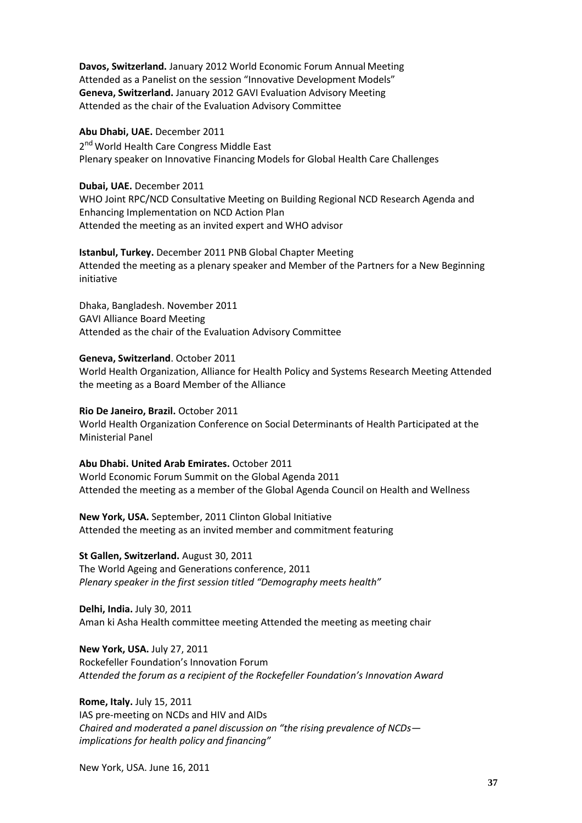**Davos, Switzerland.** January 2012 World Economic Forum Annual Meeting Attended as a Panelist on the session "Innovative Development Models" **Geneva, Switzerland.** January 2012 GAVI Evaluation Advisory Meeting Attended as the chair of the Evaluation Advisory Committee

#### **Abu Dhabi, UAE.** December 2011

2<sup>nd</sup> World Health Care Congress Middle East Plenary speaker on Innovative Financing Models for Global Health Care Challenges

#### **Dubai, UAE.** December 2011

WHO Joint RPC/NCD Consultative Meeting on Building Regional NCD Research Agenda and Enhancing Implementation on NCD Action Plan Attended the meeting as an invited expert and WHO advisor

**Istanbul, Turkey.** December 2011 PNB Global Chapter Meeting Attended the meeting as a plenary speaker and Member of the Partners for a New Beginning initiative

Dhaka, Bangladesh. November 2011 GAVI Alliance Board Meeting Attended as the chair of the Evaluation Advisory Committee

#### **Geneva, Switzerland**. October 2011

World Health Organization, Alliance for Health Policy and Systems Research Meeting Attended the meeting as a Board Member of the Alliance

#### **Rio De Janeiro, Brazil.** October 2011

World Health Organization Conference on Social Determinants of Health Participated at the Ministerial Panel

**Abu Dhabi. United Arab Emirates.** October 2011 World Economic Forum Summit on the Global Agenda 2011 Attended the meeting as a member of the Global Agenda Council on Health and Wellness

**New York, USA.** September, 2011 Clinton Global Initiative Attended the meeting as an invited member and commitment featuring

**St Gallen, Switzerland.** August 30, 2011 The World Ageing and Generations conference, 2011 *Plenary speaker in the first session titled "Demography meets health"*

**Delhi, India.** July 30, 2011 Aman ki Asha Health committee meeting Attended the meeting as meeting chair

**New York, USA.** July 27, 2011 Rockefeller Foundation's Innovation Forum *Attended the forum as a recipient of the Rockefeller Foundation's Innovation Award*

**Rome, Italy.** July 15, 2011 IAS pre-meeting on NCDs and HIV and AIDs *Chaired and moderated a panel discussion on "the rising prevalence of NCDs implications for health policy and financing"*

New York, USA. June 16, 2011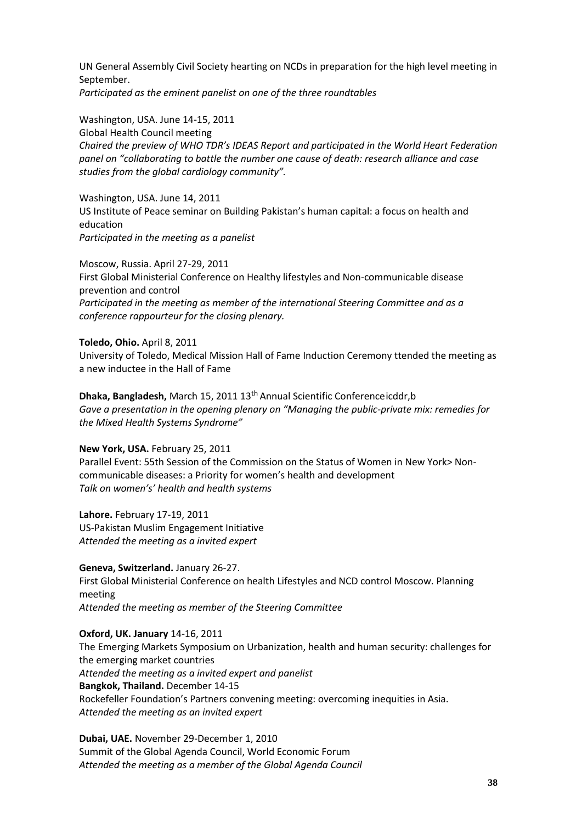UN General Assembly Civil Society hearting on NCDs in preparation for the high level meeting in September. *Participated as the eminent panelist on one of the three roundtables*

Washington, USA. June 14-15, 2011 Global Health Council meeting *Chaired the preview of WHO TDR's IDEAS Report and participated in the World Heart Federation panel on "collaborating to battle the number one cause of death: research alliance and case studies from the global cardiology community".*

Washington, USA. June 14, 2011 US Institute of Peace seminar on Building Pakistan's human capital: a focus on health and education *Participated in the meeting as a panelist*

Moscow, Russia. April 27-29, 2011 First Global Ministerial Conference on Healthy lifestyles and Non-communicable disease prevention and control *Participated in the meeting as member of the international Steering Committee and as a conference rappourteur for the closing plenary.*

#### **Toledo, Ohio.** April 8, 2011

University of Toledo, Medical Mission Hall of Fame Induction Ceremony ttended the meeting as a new inductee in the Hall of Fame

**Dhaka, Bangladesh, March 15, 2011 13<sup>th</sup> Annual Scientific Conferenceicddr, b** *Gave a presentation in the opening plenary on "Managing the public-private mix: remedies for the Mixed Health Systems Syndrome"*

#### **New York, USA.** February 25, 2011

Parallel Event: 55th Session of the Commission on the Status of Women in New York> Noncommunicable diseases: a Priority for women's health and development *Talk on women's' health and health systems*

**Lahore.** February 17-19, 2011 US-Pakistan Muslim Engagement Initiative *Attended the meeting as a invited expert*

**Geneva, Switzerland.** January 26-27. First Global Ministerial Conference on health Lifestyles and NCD control Moscow. Planning meeting *Attended the meeting as member of the Steering Committee*

**Oxford, UK. January** 14-16, 2011 The Emerging Markets Symposium on Urbanization, health and human security: challenges for the emerging market countries *Attended the meeting as a invited expert and panelist* **Bangkok, Thailand.** December 14-15 Rockefeller Foundation's Partners convening meeting: overcoming inequities in Asia. *Attended the meeting as an invited expert*

**Dubai, UAE.** November 29-December 1, 2010 Summit of the Global Agenda Council, World Economic Forum *Attended the meeting as a member of the Global Agenda Council*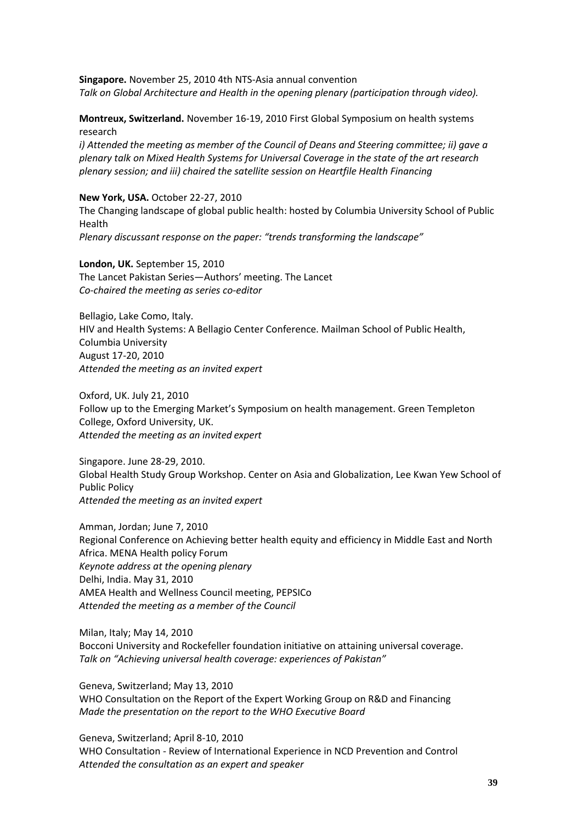**Singapore.** November 25, 2010 4th NTS-Asia annual convention *Talk on Global Architecture and Health in the opening plenary (participation through video).*

**Montreux, Switzerland.** November 16-19, 2010 First Global Symposium on health systems research

*i) Attended the meeting as member of the Council of Deans and Steering committee; ii) gave a plenary talk on Mixed Health Systems for Universal Coverage in the state of the art research plenary session; and iii) chaired the satellite session on Heartfile Health Financing*

**New York, USA.** October 22-27, 2010 The Changing landscape of global public health: hosted by Columbia University School of Public Health *Plenary discussant response on the paper: "trends transforming the landscape"*

**London, UK.** September 15, 2010 The Lancet Pakistan Series—Authors' meeting. The Lancet *Co-chaired the meeting as series co-editor*

Bellagio, Lake Como, Italy. HIV and Health Systems: A Bellagio Center Conference. Mailman School of Public Health, Columbia University August 17-20, 2010 *Attended the meeting as an invited expert*

Oxford, UK. July 21, 2010 Follow up to the Emerging Market's Symposium on health management. Green Templeton College, Oxford University, UK. *Attended the meeting as an invited expert*

Singapore. June 28-29, 2010. Global Health Study Group Workshop. Center on Asia and Globalization, Lee Kwan Yew School of Public Policy *Attended the meeting as an invited expert*

Amman, Jordan; June 7, 2010 Regional Conference on Achieving better health equity and efficiency in Middle East and North Africa. MENA Health policy Forum *Keynote address at the opening plenary* Delhi, India. May 31, 2010 AMEA Health and Wellness Council meeting, PEPSICo *Attended the meeting as a member of the Council*

Milan, Italy; May 14, 2010 Bocconi University and Rockefeller foundation initiative on attaining universal coverage. *Talk on "Achieving universal health coverage: experiences of Pakistan"*

Geneva, Switzerland; May 13, 2010 WHO Consultation on the Report of the Expert Working Group on R&D and Financing *Made the presentation on the report to the WHO Executive Board*

Geneva, Switzerland; April 8-10, 2010 WHO Consultation - Review of International Experience in NCD Prevention and Control *Attended the consultation as an expert and speaker*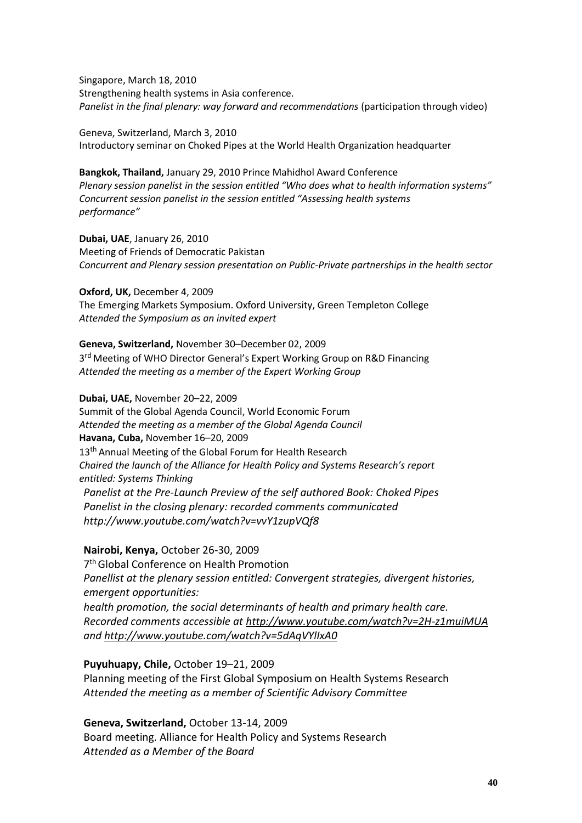Singapore, March 18, 2010 Strengthening health systems in Asia conference. Panelist in the final plenary: way forward and recommendations (participation through video)

Geneva, Switzerland, March 3, 2010 Introductory seminar on Choked Pipes at the World Health Organization headquarter

**Bangkok, Thailand,** January 29, 2010 Prince Mahidhol Award Conference *Plenary session panelist in the session entitled "Who does what to health information systems" Concurrent session panelist in the session entitled "Assessing health systems performance"*

**Dubai, UAE**, January 26, 2010 Meeting of Friends of Democratic Pakistan *Concurrent and Plenary session presentation on Public-Private partnerships in the health sector*

**Oxford, UK,** December 4, 2009 The Emerging Markets Symposium. Oxford University, Green Templeton College *Attended the Symposium as an invited expert*

**Geneva, Switzerland,** November 30–December 02, 2009 3<sup>rd</sup> Meeting of WHO Director General's Expert Working Group on R&D Financing *Attended the meeting as a member of the Expert Working Group*

**Dubai, UAE,** November 20–22, 2009 Summit of the Global Agenda Council, World Economic Forum *Attended the meeting as a member of the Global Agenda Council* **Havana, Cuba,** November 16–20, 2009 13<sup>th</sup> Annual Meeting of the Global Forum for Health Research *Chaired the launch of the Alliance for Health Policy and Systems Research's report entitled: Systems Thinking Panelist at the Pre-Launch Preview of the self authored Book: Choked Pipes Panelist in the closing plenary: recorded comments communicate[d](http://www.youtube.com/watch?v=vvY1zupVQf8) <http://www.youtube.com/watch?v=vvY1zupVQf8>*

**Nairobi, Kenya,** October 26-30, 2009 7 th Global Conference on Health Promotion *Panellist at the plenary session entitled: Convergent strategies, divergent histories, emergent opportunities: health promotion, the social determinants of health and primary health care. Recorded comments accessible at<http://www.youtube.com/watch?v=2H-z1muiMUA> and<http://www.youtube.com/watch?v=5dAqVYlIxA0>*

**Puyuhuapy, Chile,** October 19–21, 2009 Planning meeting of the First Global Symposium on Health Systems Research *Attended the meeting as a member of Scientific Advisory Committee*

**Geneva, Switzerland,** October 13-14, 2009 Board meeting. Alliance for Health Policy and Systems Research *Attended as a Member of the Board*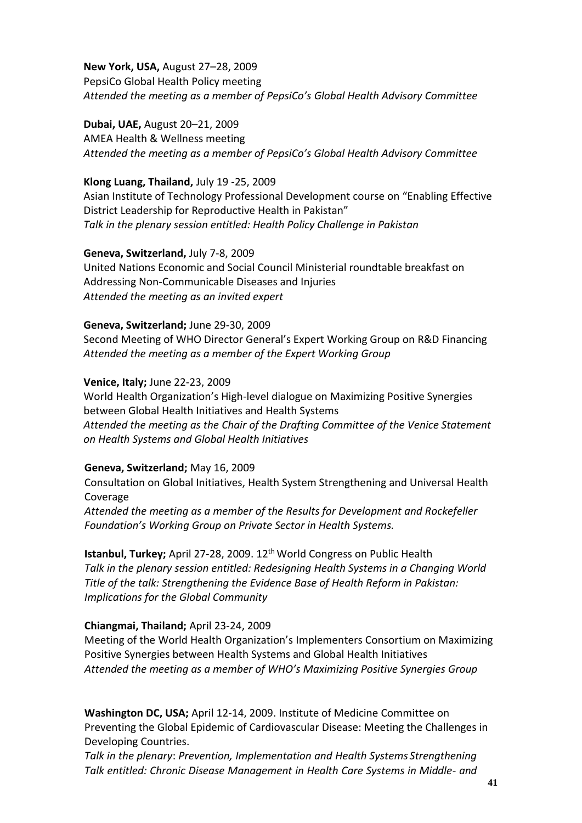**New York, USA,** August 27–28, 2009 PepsiCo Global Health Policy meeting *Attended the meeting as a member of PepsiCo's Global Health Advisory Committee*

**Dubai, UAE,** August 20–21, 2009

AMEA Health & Wellness meeting *Attended the meeting as a member of PepsiCo's Global Health Advisory Committee*

## **Klong Luang, Thailand,** July 19 -25, 2009

Asian Institute of Technology Professional Development course on "Enabling Effective District Leadership for Reproductive Health in Pakistan" *Talk in the plenary session entitled: Health Policy Challenge in Pakistan*

**Geneva, Switzerland,** July 7-8, 2009

United Nations Economic and Social Council Ministerial roundtable breakfast on Addressing Non-Communicable Diseases and Injuries *Attended the meeting as an invited expert*

## **Geneva, Switzerland;** June 29-30, 2009

Second Meeting of WHO Director General's Expert Working Group on R&D Financing *Attended the meeting as a member of the Expert Working Group*

## **Venice, Italy;** June 22-23, 2009

World Health Organization's High-level dialogue on Maximizing Positive Synergies between Global Health Initiatives and Health Systems *Attended the meeting as the Chair of the Drafting Committee of the Venice Statement on Health Systems and Global Health Initiatives*

## **Geneva, Switzerland;** May 16, 2009

Consultation on Global Initiatives, Health System Strengthening and Universal Health Coverage

*Attended the meeting as a member of the Results for Development and Rockefeller Foundation's Working Group on Private Sector in Health Systems.*

**Istanbul, Turkey;** April 27-28, 2009. 12<sup>th</sup> World Congress on Public Health *Talk in the plenary session entitled: Redesigning Health Systems in a Changing World Title of the talk: Strengthening the Evidence Base of Health Reform in Pakistan: Implications for the Global Community*

## **Chiangmai, Thailand;** April 23-24, 2009

Meeting of the World Health Organization's Implementers Consortium on Maximizing Positive Synergies between Health Systems and Global Health Initiatives *Attended the meeting as a member of WHO's Maximizing Positive Synergies Group*

**Washington DC, USA;** April 12-14, 2009. Institute of Medicine Committee on Preventing the Global Epidemic of Cardiovascular Disease: Meeting the Challenges in Developing Countries.

*Talk in the plenary*: *Prevention, Implementation and Health Systems Strengthening Talk entitled: Chronic Disease Management in Health Care Systems in Middle- and*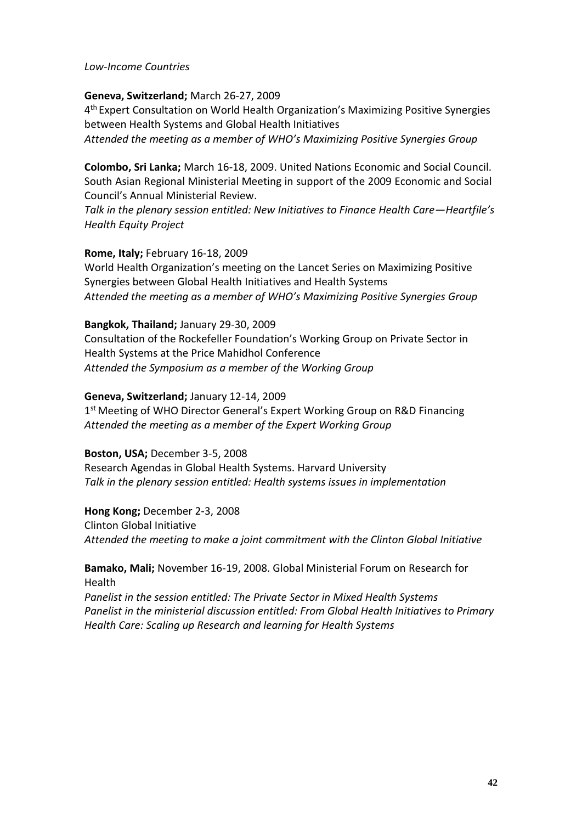#### *Low-Income Countries*

#### **Geneva, Switzerland;** March 26-27, 2009

4 th Expert Consultation on World Health Organization's Maximizing Positive Synergies between Health Systems and Global Health Initiatives *Attended the meeting as a member of WHO's Maximizing Positive Synergies Group*

**Colombo, Sri Lanka;** March 16-18, 2009. United Nations Economic and Social Council*.*  South Asian Regional Ministerial Meeting in support of the 2009 Economic and Social

Council's Annual Ministerial Review.

*Talk in the plenary session entitled: New Initiatives to Finance Health Care—Heartfile's Health Equity Project*

#### **Rome, Italy;** February 16-18, 2009

World Health Organization's meeting on the Lancet Series on Maximizing Positive Synergies between Global Health Initiatives and Health Systems *Attended the meeting as a member of WHO's Maximizing Positive Synergies Group*

#### **Bangkok, Thailand;** January 29-30, 2009

Consultation of the Rockefeller Foundation's Working Group on Private Sector in Health Systems at the Price Mahidhol Conference *Attended the Symposium as a member of the Working Group*

#### **Geneva, Switzerland;** January 12-14, 2009

1<sup>st</sup> Meeting of WHO Director General's Expert Working Group on R&D Financing *Attended the meeting as a member of the Expert Working Group*

#### **Boston, USA;** December 3-5, 2008

Research Agendas in Global Health Systems. Harvard University *Talk in the plenary session entitled: Health systems issues in implementation*

#### **Hong Kong;** December 2-3, 2008

Clinton Global Initiative *Attended the meeting to make a joint commitment with the Clinton Global Initiative*

### **Bamako, Mali;** November 16-19, 2008. Global Ministerial Forum on Research for Health

*Panelist in the session entitled: The Private Sector in Mixed Health Systems Panelist in the ministerial discussion entitled: From Global Health Initiatives to Primary Health Care: Scaling up Research and learning for Health Systems*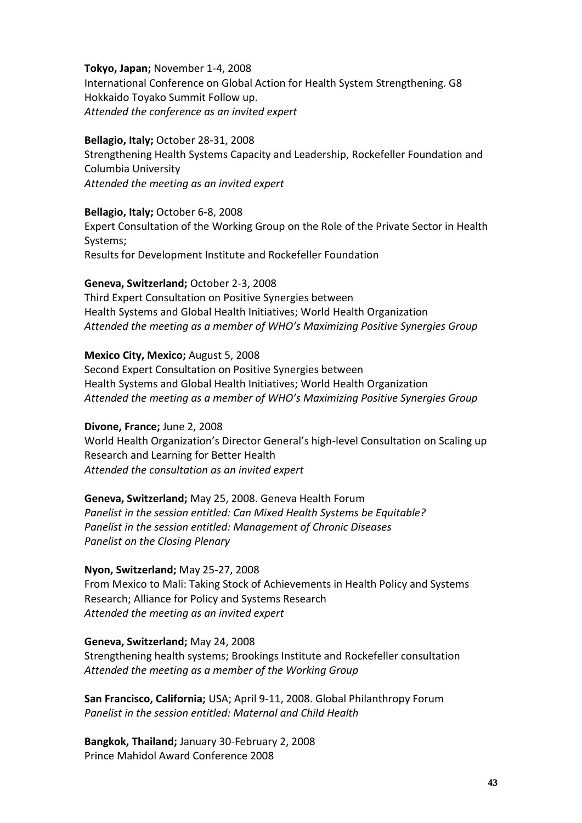**Tokyo, Japan;** November 1-4, 2008 International Conference on Global Action for Health System Strengthening. G8 Hokkaido Toyako Summit Follow up. *Attended the conference as an invited expert*

#### **Bellagio, Italy;** October 28-31, 2008

Strengthening Health Systems Capacity and Leadership, Rockefeller Foundation and Columbia University *Attended the meeting as an invited expert*

#### **Bellagio, Italy;** October 6-8, 2008

Expert Consultation of the Working Group on the Role of the Private Sector in Health Systems; Results for Development Institute and Rockefeller Foundation

#### **Geneva, Switzerland;** October 2-3, 2008

Third Expert Consultation on Positive Synergies between Health Systems and Global Health Initiatives; World Health Organization *Attended the meeting as a member of WHO's Maximizing Positive Synergies Group*

#### **Mexico City, Mexico;** August 5, 2008

Second Expert Consultation on Positive Synergies between Health Systems and Global Health Initiatives; World Health Organization *Attended the meeting as a member of WHO's Maximizing Positive Synergies Group*

#### **Divone, France;** June 2, 2008

World Health Organization's Director General's high-level Consultation on Scaling up Research and Learning for Better Health *Attended the consultation as an invited expert*

**Geneva, Switzerland;** May 25, 2008. Geneva Health Forum *Panelist in the session entitled: Can Mixed Health Systems be Equitable? Panelist in the session entitled: Management of Chronic Diseases Panelist on the Closing Plenary*

#### **Nyon, Switzerland;** May 25-27, 2008

From Mexico to Mali: Taking Stock of Achievements in Health Policy and Systems Research; Alliance for Policy and Systems Research *Attended the meeting as an invited expert*

#### **Geneva, Switzerland;** May 24, 2008

Strengthening health systems; Brookings Institute and Rockefeller consultation *Attended the meeting as a member of the Working Group*

**San Francisco, California;** USA; April 9-11, 2008. Global Philanthropy Forum *Panelist in the session entitled: Maternal and Child Health*

**Bangkok, Thailand;** January 30-February 2, 2008 Prince Mahidol Award Conference 2008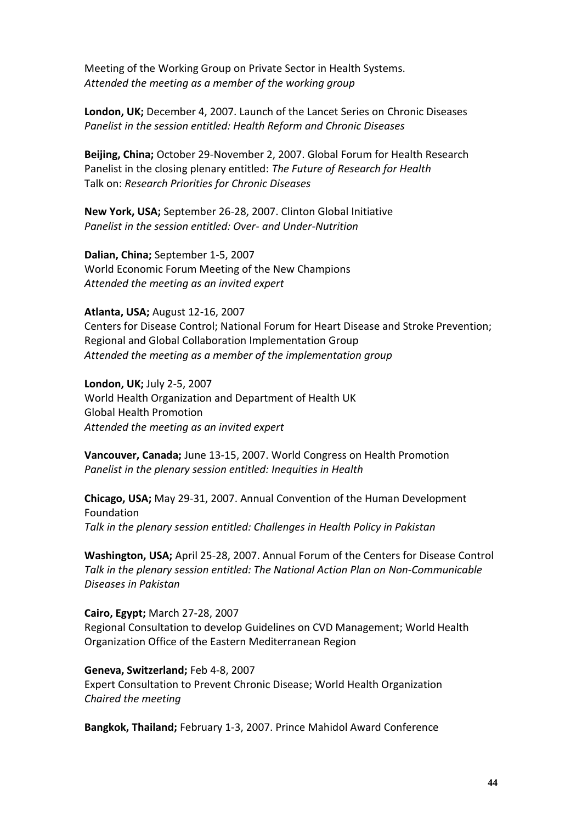Meeting of the Working Group on Private Sector in Health Systems. *Attended the meeting as a member of the working group*

**London, UK;** December 4, 2007. Launch of the Lancet Series on Chronic Diseases *Panelist in the session entitled: Health Reform and Chronic Diseases*

**Beijing, China;** October 29-November 2, 2007. Global Forum for Health Research Panelist in the closing plenary entitled: *The Future of Research for Health* Talk on: *Research Priorities for Chronic Diseases*

**New York, USA;** September 26-28, 2007. Clinton Global Initiative *Panelist in the session entitled: Over- and Under-Nutrition*

**Dalian, China;** September 1-5, 2007 World Economic Forum Meeting of the New Champions *Attended the meeting as an invited expert*

**Atlanta, USA;** August 12-16, 2007 Centers for Disease Control; National Forum for Heart Disease and Stroke Prevention; Regional and Global Collaboration Implementation Group *Attended the meeting as a member of the implementation group*

**London, UK;** July 2-5, 2007 World Health Organization and Department of Health UK Global Health Promotion *Attended the meeting as an invited expert*

**Vancouver, Canada;** June 13-15, 2007. World Congress on Health Promotion *Panelist in the plenary session entitled: Inequities in Health*

**Chicago, USA;** May 29-31, 2007. Annual Convention of the Human Development Foundation *Talk in the plenary session entitled: Challenges in Health Policy in Pakistan*

**Washington, USA;** April 25-28, 2007. Annual Forum of the Centers for Disease Control *Talk in the plenary session entitled: The National Action Plan on Non-Communicable Diseases in Pakistan*

**Cairo, Egypt;** March 27-28, 2007 Regional Consultation to develop Guidelines on CVD Management; World Health Organization Office of the Eastern Mediterranean Region

**Geneva, Switzerland;** Feb 4-8, 2007 Expert Consultation to Prevent Chronic Disease; World Health Organization *Chaired the meeting*

**Bangkok, Thailand;** February 1-3, 2007. Prince Mahidol Award Conference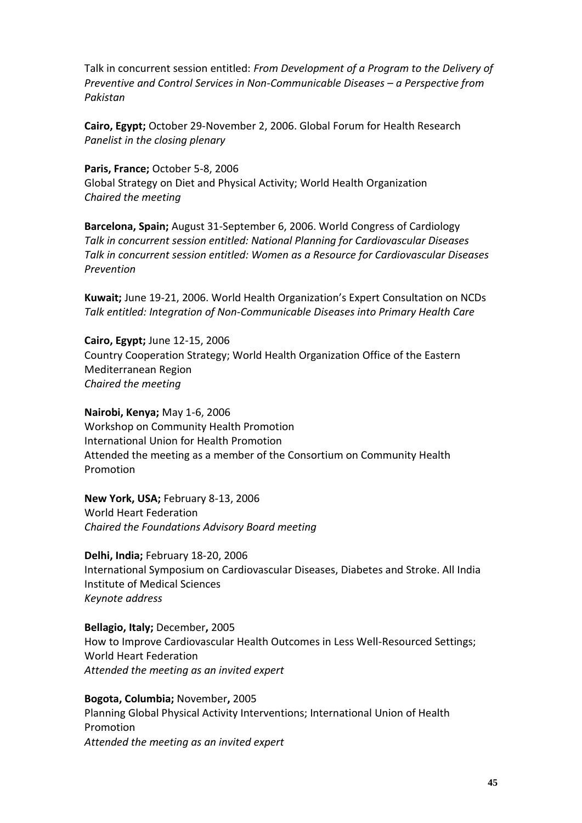Talk in concurrent session entitled: *From Development of a Program to the Delivery of Preventive and Control Services in Non-Communicable Diseases – a Perspective from Pakistan*

**Cairo, Egypt;** October 29-November 2, 2006. Global Forum for Health Research *Panelist in the closing plenary*

**Paris, France;** October 5-8, 2006 Global Strategy on Diet and Physical Activity; World Health Organization *Chaired the meeting*

**Barcelona, Spain;** August 31-September 6, 2006. World Congress of Cardiology *Talk in concurrent session entitled: National Planning for Cardiovascular Diseases Talk in concurrent session entitled: Women as a Resource for Cardiovascular Diseases Prevention*

**Kuwait;** June 19-21, 2006. World Health Organization's Expert Consultation on NCDs *Talk entitled: Integration of Non-Communicable Diseases into Primary Health Care*

**Cairo, Egypt;** June 12-15, 2006 Country Cooperation Strategy; World Health Organization Office of the Eastern Mediterranean Region *Chaired the meeting*

**Nairobi, Kenya;** May 1-6, 2006 Workshop on Community Health Promotion International Union for Health Promotion Attended the meeting as a member of the Consortium on Community Health Promotion

**New York, USA;** February 8-13, 2006 World Heart Federation *Chaired the Foundations Advisory Board meeting*

**Delhi, India;** February 18-20, 2006 International Symposium on Cardiovascular Diseases, Diabetes and Stroke. All India Institute of Medical Sciences *Keynote address*

**Bellagio, Italy;** December**,** 2005 How to Improve Cardiovascular Health Outcomes in Less Well-Resourced Settings; World Heart Federation *Attended the meeting as an invited expert*

**Bogota, Columbia;** November**,** 2005 Planning Global Physical Activity Interventions; International Union of Health Promotion *Attended the meeting as an invited expert*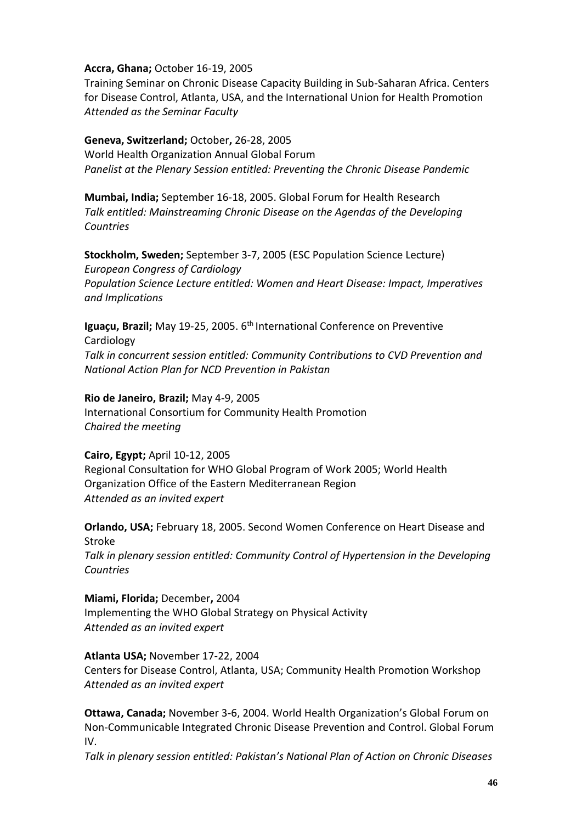### **Accra, Ghana;** October 16-19, 2005

Training Seminar on Chronic Disease Capacity Building in Sub-Saharan Africa. Centers for Disease Control, Atlanta, USA, and the International Union for Health Promotion *Attended as the Seminar Faculty*

### **Geneva, Switzerland;** October**,** 26-28, 2005

World Health Organization Annual Global Forum *Panelist at the Plenary Session entitled: Preventing the Chronic Disease Pandemic*

**Mumbai, India;** September 16-18, 2005. Global Forum for Health Research *Talk entitled: Mainstreaming Chronic Disease on the Agendas of the Developing Countries*

**Stockholm, Sweden;** September 3-7, 2005 (ESC Population Science Lecture) *European Congress of Cardiology Population Science Lecture entitled: Women and Heart Disease: Impact, Imperatives and Implications*

**Iguaçu, Brazil;** May 19-25, 2005. 6<sup>th</sup> International Conference on Preventive Cardiology *Talk in concurrent session entitled: Community Contributions to CVD Prevention and National Action Plan for NCD Prevention in Pakistan*

### **Rio de Janeiro, Brazil;** May 4-9, 2005

International Consortium for Community Health Promotion *Chaired the meeting*

## **Cairo, Egypt;** April 10-12, 2005

Regional Consultation for WHO Global Program of Work 2005; World Health Organization Office of the Eastern Mediterranean Region *Attended as an invited expert*

**Orlando, USA;** February 18, 2005. Second Women Conference on Heart Disease and Stroke *Talk in plenary session entitled: Community Control of Hypertension in the Developing Countries*

**Miami, Florida;** December**,** 2004 Implementing the WHO Global Strategy on Physical Activity *Attended as an invited expert*

**Atlanta USA;** November 17-22, 2004 Centers for Disease Control, Atlanta, USA; Community Health Promotion Workshop *Attended as an invited expert*

**Ottawa, Canada;** November 3-6, 2004. World Health Organization's Global Forum on Non-Communicable Integrated Chronic Disease Prevention and Control. Global Forum IV.

*Talk in plenary session entitled: Pakistan's National Plan of Action on Chronic Diseases*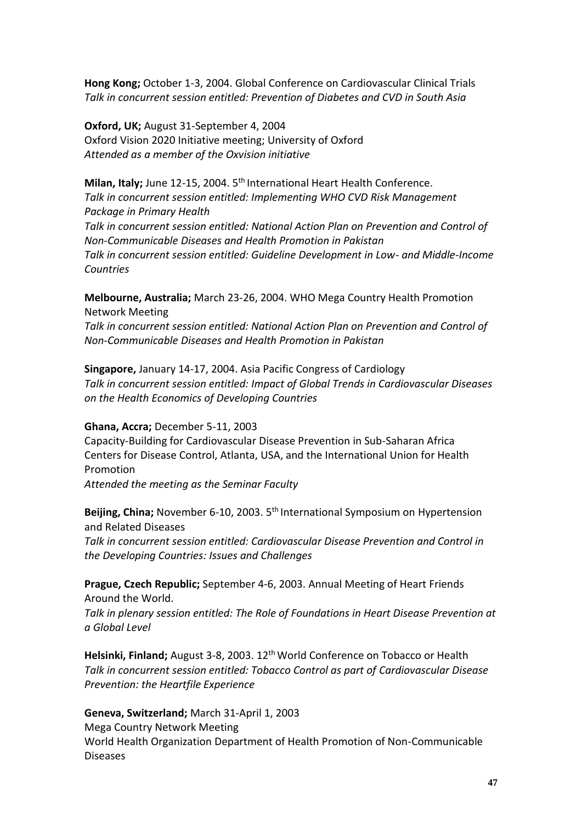**Hong Kong;** October 1-3, 2004. Global Conference on Cardiovascular Clinical Trials *Talk in concurrent session entitled: Prevention of Diabetes and CVD in South Asia*

**Oxford, UK;** August 31-September 4, 2004 Oxford Vision 2020 Initiative meeting; University of Oxford *Attended as a member of the Oxvision initiative*

**Milan, Italy;** June 12-15, 2004. 5<sup>th</sup> International Heart Health Conference. *Talk in concurrent session entitled: Implementing WHO CVD Risk Management Package in Primary Health Talk in concurrent session entitled: National Action Plan on Prevention and Control of Non-Communicable Diseases and Health Promotion in Pakistan Talk in concurrent session entitled: Guideline Development in Low- and Middle-Income Countries*

**Melbourne, Australia;** March 23-26, 2004. WHO Mega Country Health Promotion Network Meeting

*Talk in concurrent session entitled: National Action Plan on Prevention and Control of Non-Communicable Diseases and Health Promotion in Pakistan*

**Singapore,** January 14-17, 2004. Asia Pacific Congress of Cardiology *Talk in concurrent session entitled: Impact of Global Trends in Cardiovascular Diseases on the Health Economics of Developing Countries*

#### **Ghana, Accra;** December 5-11, 2003

Capacity-Building for Cardiovascular Disease Prevention in Sub-Saharan Africa Centers for Disease Control, Atlanta, USA, and the International Union for Health Promotion

*Attended the meeting as the Seminar Faculty*

**Beijing, China;** November 6-10, 2003. 5<sup>th</sup> International Symposium on Hypertension and Related Diseases

*Talk in concurrent session entitled: Cardiovascular Disease Prevention and Control in the Developing Countries: Issues and Challenges*

**Prague, Czech Republic;** September 4-6, 2003. Annual Meeting of Heart Friends Around the World.

*Talk in plenary session entitled: The Role of Foundations in Heart Disease Prevention at a Global Level*

**Helsinki, Finland;** August 3-8, 2003. 12th World Conference on Tobacco or Health *Talk in concurrent session entitled: Tobacco Control as part of Cardiovascular Disease Prevention: the Heartfile Experience*

#### **Geneva, Switzerland;** March 31-April 1, 2003

Mega Country Network Meeting World Health Organization Department of Health Promotion of Non-Communicable Diseases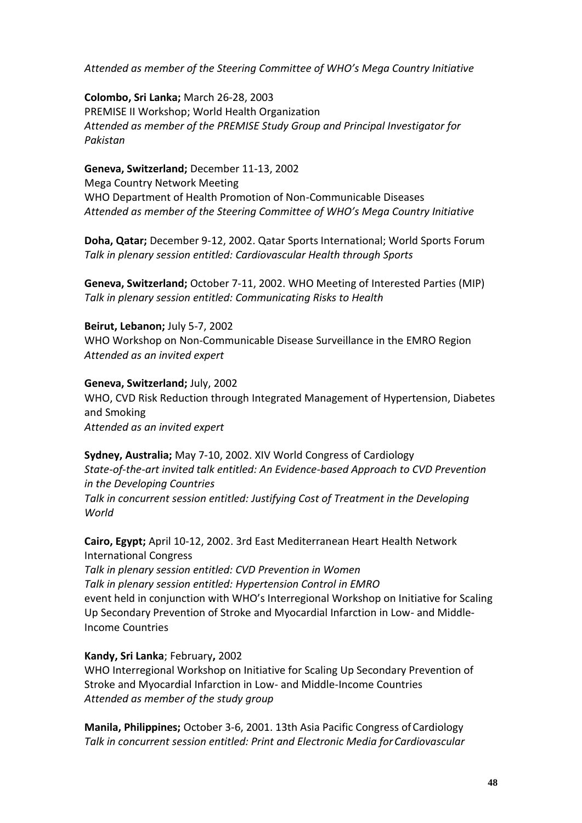*Attended as member of the Steering Committee of WHO's Mega Country Initiative*

**Colombo, Sri Lanka;** March 26-28, 2003 PREMISE II Workshop; World Health Organization *Attended as member of the PREMISE Study Group and Principal Investigator for Pakistan*

**Geneva, Switzerland;** December 11-13, 2002 Mega Country Network Meeting WHO Department of Health Promotion of Non-Communicable Diseases *Attended as member of the Steering Committee of WHO's Mega Country Initiative*

**Doha, Qatar;** December 9-12, 2002. Qatar Sports International; World Sports Forum *Talk in plenary session entitled: Cardiovascular Health through Sports*

**Geneva, Switzerland;** October 7-11, 2002. WHO Meeting of Interested Parties (MIP) *Talk in plenary session entitled: Communicating Risks to Health*

#### **Beirut, Lebanon;** July 5-7, 2002

WHO Workshop on Non-Communicable Disease Surveillance in the EMRO Region *Attended as an invited expert*

**Geneva, Switzerland;** July, 2002 WHO, CVD Risk Reduction through Integrated Management of Hypertension, Diabetes and Smoking *Attended as an invited expert*

**Sydney, Australia;** May 7-10, 2002. XIV World Congress of Cardiology *State-of-the-art invited talk entitled: An Evidence-based Approach to CVD Prevention in the Developing Countries Talk in concurrent session entitled: Justifying Cost of Treatment in the Developing World*

**Cairo, Egypt;** April 10-12, 2002. 3rd East Mediterranean Heart Health Network International Congress

*Talk in plenary session entitled: CVD Prevention in Women Talk in plenary session entitled: Hypertension Control in EMRO* event held in conjunction with WHO's Interregional Workshop on Initiative for Scaling Up Secondary Prevention of Stroke and Myocardial Infarction in Low- and Middle-Income Countries

**Kandy, Sri Lanka**; February**,** 2002

WHO Interregional Workshop on Initiative for Scaling Up Secondary Prevention of Stroke and Myocardial Infarction in Low- and Middle-Income Countries *Attended as member of the study group*

**Manila, Philippines;** October 3-6, 2001. 13th Asia Pacific Congress of Cardiology *Talk in concurrent session entitled: Print and Electronic Media forCardiovascular*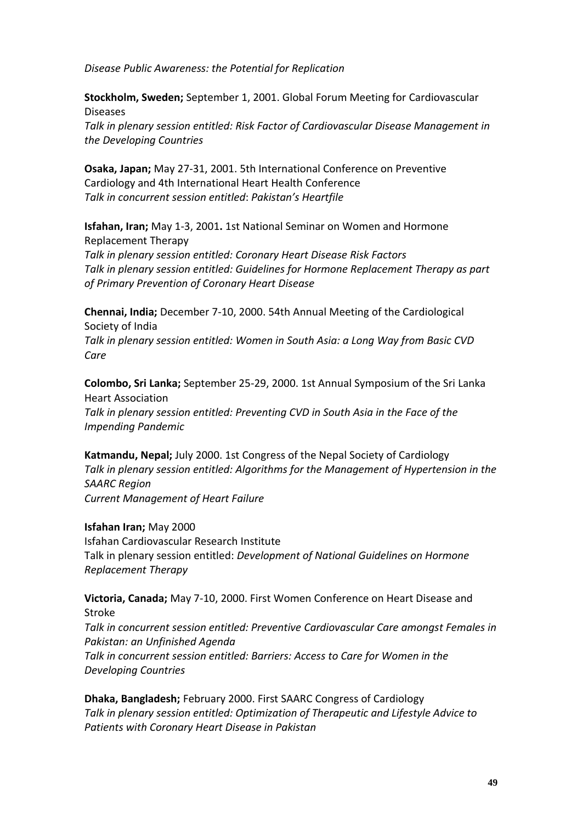*Disease Public Awareness: the Potential for Replication*

**Stockholm, Sweden;** September 1, 2001. Global Forum Meeting for Cardiovascular Diseases *Talk in plenary session entitled: Risk Factor of Cardiovascular Disease Management in the Developing Countries*

**Osaka, Japan;** May 27-31, 2001. 5th International Conference on Preventive Cardiology and 4th International Heart Health Conference *Talk in concurrent session entitled*: *Pakistan's Heartfile*

**Isfahan, Iran;** May 1-3, 2001**.** 1st National Seminar on Women and Hormone Replacement Therapy

*Talk in plenary session entitled: Coronary Heart Disease Risk Factors Talk in plenary session entitled: Guidelines for Hormone Replacement Therapy as part of Primary Prevention of Coronary Heart Disease*

**Chennai, India;** December 7-10, 2000. 54th Annual Meeting of the Cardiological Society of India *Talk in plenary session entitled: Women in South Asia: a Long Way from Basic CVD Care*

**Colombo, Sri Lanka;** September 25-29, 2000. 1st Annual Symposium of the Sri Lanka Heart Association *Talk in plenary session entitled: Preventing CVD in South Asia in the Face of the Impending Pandemic*

**Katmandu, Nepal;** July 2000. 1st Congress of the Nepal Society of Cardiology *Talk in plenary session entitled: Algorithms for the Management of Hypertension in the SAARC Region Current Management of Heart Failure*

**Isfahan Iran;** May 2000 Isfahan Cardiovascular Research Institute Talk in plenary session entitled: *Development of National Guidelines on Hormone Replacement Therapy*

**Victoria, Canada;** May 7-10, 2000. First Women Conference on Heart Disease and Stroke

*Talk in concurrent session entitled: Preventive Cardiovascular Care amongst Females in Pakistan: an Unfinished Agenda*

*Talk in concurrent session entitled: Barriers: Access to Care for Women in the Developing Countries*

**Dhaka, Bangladesh;** February 2000. First SAARC Congress of Cardiology *Talk in plenary session entitled: Optimization of Therapeutic and Lifestyle Advice to Patients with Coronary Heart Disease in Pakistan*